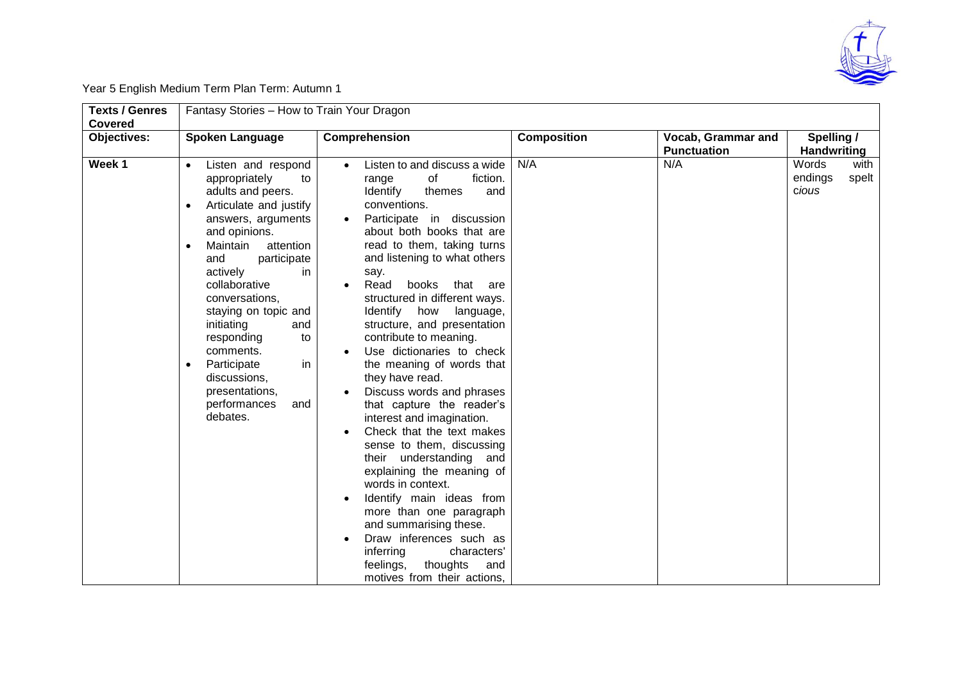

Year 5 English Medium Term Plan Term: Autumn 1

| <b>Texts / Genres</b><br>Covered | Fantasy Stories - How to Train Your Dragon                                                                                                                                                                                                                                                                                                                                                                                |                                                                                                                                                                                                                                                                                                                                                                                                                                                                                                                                                                                                                                                                                                                                                                                                                        |                    |                                                 |                                            |  |  |
|----------------------------------|---------------------------------------------------------------------------------------------------------------------------------------------------------------------------------------------------------------------------------------------------------------------------------------------------------------------------------------------------------------------------------------------------------------------------|------------------------------------------------------------------------------------------------------------------------------------------------------------------------------------------------------------------------------------------------------------------------------------------------------------------------------------------------------------------------------------------------------------------------------------------------------------------------------------------------------------------------------------------------------------------------------------------------------------------------------------------------------------------------------------------------------------------------------------------------------------------------------------------------------------------------|--------------------|-------------------------------------------------|--------------------------------------------|--|--|
| Objectives:                      | <b>Spoken Language</b>                                                                                                                                                                                                                                                                                                                                                                                                    | Comprehension                                                                                                                                                                                                                                                                                                                                                                                                                                                                                                                                                                                                                                                                                                                                                                                                          | <b>Composition</b> | <b>Vocab, Grammar and</b><br><b>Punctuation</b> | Spelling /<br><b>Handwriting</b>           |  |  |
| Week 1                           | Listen and respond<br>appropriately<br>to<br>adults and peers.<br>Articulate and justify<br>answers, arguments<br>and opinions.<br>Maintain<br>attention<br>participate<br>and<br>actively<br>in.<br>collaborative<br>conversations,<br>staying on topic and<br>initiating<br>and<br>responding<br>to<br>comments.<br>Participate<br>in<br>$\bullet$<br>discussions,<br>presentations,<br>performances<br>and<br>debates. | Listen to and discuss a wide<br>of<br>fiction.<br>range<br><b>Identify</b><br>themes<br>and<br>conventions.<br>Participate in discussion<br>about both books that are<br>read to them, taking turns<br>and listening to what others<br>say.<br>books that are<br>Read<br>structured in different ways.<br>Identify<br>how<br>language,<br>structure, and presentation<br>contribute to meaning.<br>Use dictionaries to check<br>the meaning of words that<br>they have read.<br>Discuss words and phrases<br>that capture the reader's<br>interest and imagination.<br>Check that the text makes<br>sense to them, discussing<br>their understanding and<br>explaining the meaning of<br>words in context.<br>Identify main ideas from<br>more than one paragraph<br>and summarising these.<br>Draw inferences such as | N/A                | N/A                                             | Words<br>with<br>endings<br>spelt<br>cious |  |  |
|                                  |                                                                                                                                                                                                                                                                                                                                                                                                                           | characters'<br>inferring<br>feelings,<br>thoughts<br>and<br>motives from their actions,                                                                                                                                                                                                                                                                                                                                                                                                                                                                                                                                                                                                                                                                                                                                |                    |                                                 |                                            |  |  |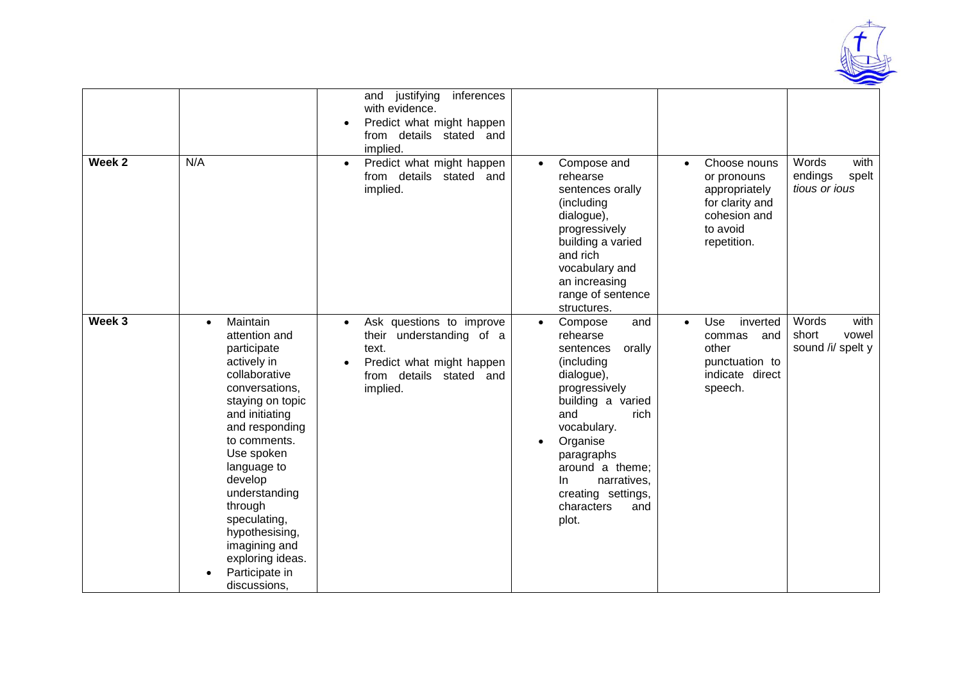

| Week 2 | N/A                                                                                                                                                                                                                                                                                                                                 | justifying<br>inferences<br>and<br>with evidence.<br>Predict what might happen<br>from details stated and<br>implied.<br>Predict what might happen<br>$\bullet$<br>from details stated and<br>implied. | Compose and<br>$\bullet$<br>rehearse<br>sentences orally<br>(including<br>dialogue),<br>progressively<br>building a varied<br>and rich<br>vocabulary and<br>an increasing                                                                             | Choose nouns<br>$\bullet$<br>or pronouns<br>appropriately<br>for clarity and<br>cohesion and<br>to avoid<br>repetition. | Words<br>with<br>endings<br>spelt<br>tious or ious |
|--------|-------------------------------------------------------------------------------------------------------------------------------------------------------------------------------------------------------------------------------------------------------------------------------------------------------------------------------------|--------------------------------------------------------------------------------------------------------------------------------------------------------------------------------------------------------|-------------------------------------------------------------------------------------------------------------------------------------------------------------------------------------------------------------------------------------------------------|-------------------------------------------------------------------------------------------------------------------------|----------------------------------------------------|
| Week 3 | Maintain<br>$\bullet$                                                                                                                                                                                                                                                                                                               | Ask questions to improve<br>$\bullet$                                                                                                                                                                  | range of sentence<br>structures.<br>Compose<br>and<br>$\bullet$                                                                                                                                                                                       | Use<br>inverted<br>$\bullet$                                                                                            | Words<br>with                                      |
|        | attention and<br>participate<br>actively in<br>collaborative<br>conversations,<br>staying on topic<br>and initiating<br>and responding<br>to comments.<br>Use spoken<br>language to<br>develop<br>understanding<br>through<br>speculating,<br>hypothesising,<br>imagining and<br>exploring ideas.<br>Participate in<br>discussions, | their understanding of a<br>text.<br>Predict what might happen<br>from details stated and<br>implied.                                                                                                  | rehearse<br>sentences<br>orally<br>(including<br>dialogue),<br>progressively<br>building a varied<br>and<br>rich<br>vocabulary.<br>Organise<br>paragraphs<br>around a theme:<br>In<br>narratives,<br>creating settings,<br>characters<br>and<br>plot. | and<br>commas<br>other<br>punctuation to<br>indicate direct<br>speech.                                                  | short<br>vowel<br>sound /i/ spelt y                |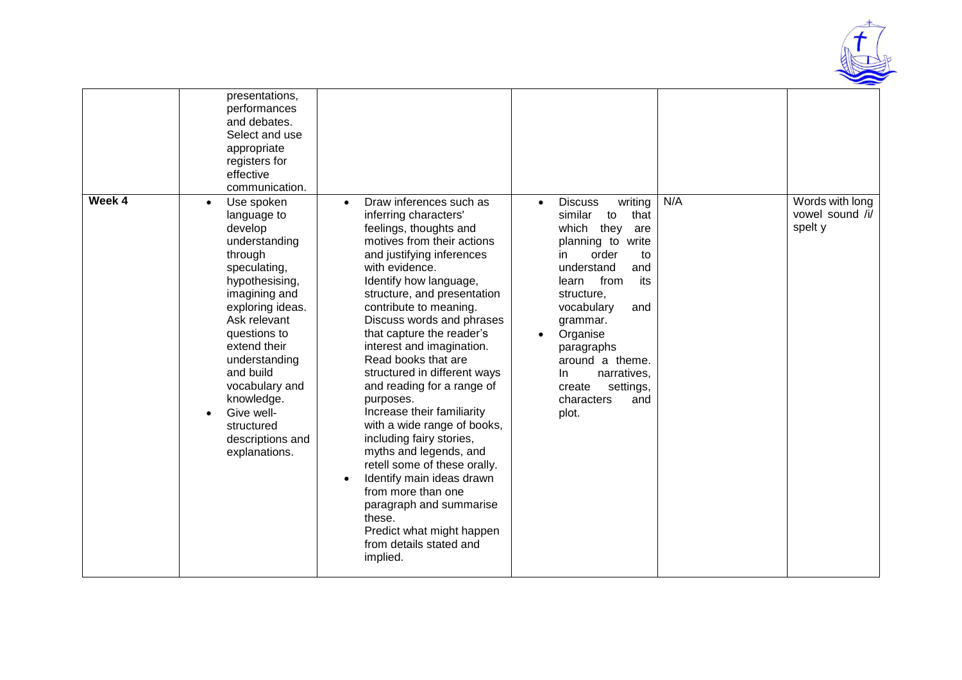

|        | presentations,<br>performances<br>and debates.<br>Select and use<br>appropriate<br>registers for<br>effective<br>communication.                                                                                                                                                                                                                  |                                                                                                                                                                                                                                                                                                                                                                                                                                                                                                                                                                                                                                                                                                                                                                              |                                                                                                                                                                                                                                                                                                                                                       |     |                                               |
|--------|--------------------------------------------------------------------------------------------------------------------------------------------------------------------------------------------------------------------------------------------------------------------------------------------------------------------------------------------------|------------------------------------------------------------------------------------------------------------------------------------------------------------------------------------------------------------------------------------------------------------------------------------------------------------------------------------------------------------------------------------------------------------------------------------------------------------------------------------------------------------------------------------------------------------------------------------------------------------------------------------------------------------------------------------------------------------------------------------------------------------------------------|-------------------------------------------------------------------------------------------------------------------------------------------------------------------------------------------------------------------------------------------------------------------------------------------------------------------------------------------------------|-----|-----------------------------------------------|
| Week 4 | Use spoken<br>$\bullet$<br>language to<br>develop<br>understanding<br>through<br>speculating,<br>hypothesising,<br>imagining and<br>exploring ideas.<br>Ask relevant<br>questions to<br>extend their<br>understanding<br>and build<br>vocabulary and<br>knowledge.<br>Give well-<br>$\bullet$<br>structured<br>descriptions and<br>explanations. | Draw inferences such as<br>$\bullet$<br>inferring characters'<br>feelings, thoughts and<br>motives from their actions<br>and justifying inferences<br>with evidence.<br>Identify how language,<br>structure, and presentation<br>contribute to meaning.<br>Discuss words and phrases<br>that capture the reader's<br>interest and imagination.<br>Read books that are<br>structured in different ways<br>and reading for a range of<br>purposes.<br>Increase their familiarity<br>with a wide range of books,<br>including fairy stories,<br>myths and legends, and<br>retell some of these orally.<br>Identify main ideas drawn<br>$\bullet$<br>from more than one<br>paragraph and summarise<br>these.<br>Predict what might happen<br>from details stated and<br>implied. | <b>Discuss</b><br>writing<br>$\bullet$<br>similar<br>that<br>to<br>they<br>which<br>are<br>planning to write<br>order<br>in<br>to<br>understand<br>and<br>from<br>its<br>learn<br>structure,<br>vocabulary<br>and<br>grammar.<br>Organise<br>paragraphs<br>around a theme.<br>narratives,<br>In.<br>settings,<br>create<br>characters<br>and<br>plot. | N/A | Words with long<br>vowel sound /i/<br>spelt y |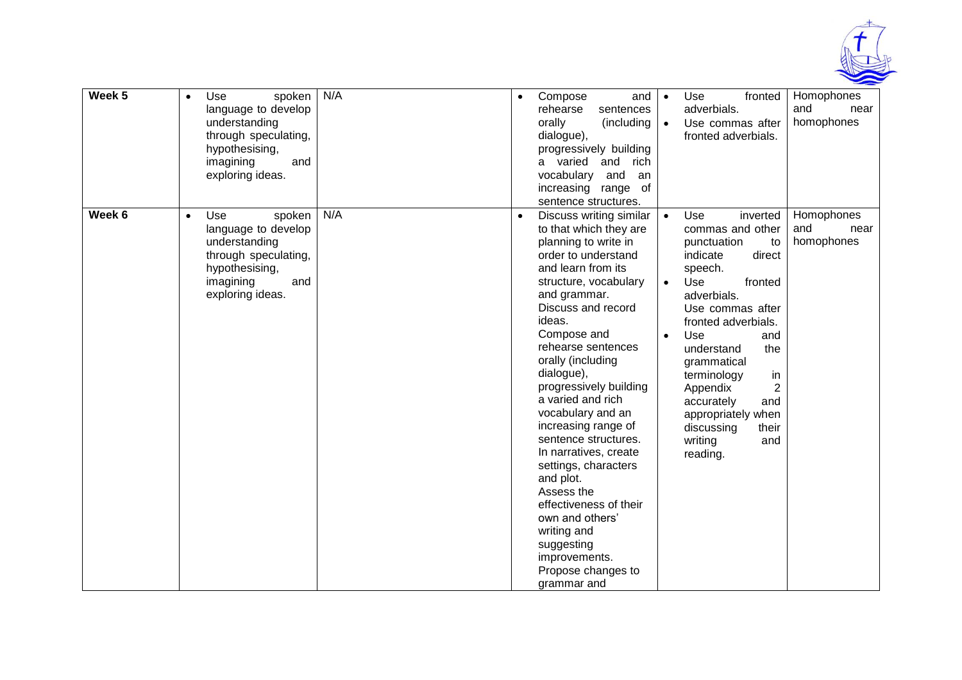

| Week 5 | Use<br>spoken<br>$\bullet$<br>language to develop<br>understanding<br>through speculating,<br>hypothesising,<br>imagining<br>and<br>exploring ideas. | N/A | Compose<br>and<br>$\bullet$<br>rehearse<br>sentences<br>orally<br>(including<br>dialogue),<br>progressively building<br>a varied<br>and<br>rich<br>vocabulary<br>and<br>an<br>increasing range of<br>sentence structures.                                                                                                                                                                                                                                                                                                                                                                              | Homophones<br>Use<br>fronted<br>$\bullet$<br>adverbials.<br>and<br>near<br>homophones<br>Use commas after<br>$\bullet$<br>fronted adverbials.                                                                                                                                                                                                                                                                                                                |
|--------|------------------------------------------------------------------------------------------------------------------------------------------------------|-----|--------------------------------------------------------------------------------------------------------------------------------------------------------------------------------------------------------------------------------------------------------------------------------------------------------------------------------------------------------------------------------------------------------------------------------------------------------------------------------------------------------------------------------------------------------------------------------------------------------|--------------------------------------------------------------------------------------------------------------------------------------------------------------------------------------------------------------------------------------------------------------------------------------------------------------------------------------------------------------------------------------------------------------------------------------------------------------|
| Week 6 | Use<br>spoken<br>$\bullet$<br>language to develop<br>understanding<br>through speculating,<br>hypothesising,<br>imagining<br>and<br>exploring ideas. | N/A | Discuss writing similar<br>to that which they are<br>planning to write in<br>order to understand<br>and learn from its<br>structure, vocabulary<br>and grammar.<br>Discuss and record<br>ideas.<br>Compose and<br>rehearse sentences<br>orally (including<br>dialogue),<br>progressively building<br>a varied and rich<br>vocabulary and an<br>increasing range of<br>sentence structures.<br>In narratives, create<br>settings, characters<br>and plot.<br>Assess the<br>effectiveness of their<br>own and others'<br>writing and<br>suggesting<br>improvements.<br>Propose changes to<br>grammar and | Homophones<br>Use<br>inverted<br>$\bullet$<br>and<br>commas and other<br>near<br>homophones<br>punctuation<br>to<br>indicate<br>direct<br>speech.<br>Use<br>$\bullet$<br>fronted<br>adverbials.<br>Use commas after<br>fronted adverbials.<br>Use<br>$\bullet$<br>and<br>understand<br>the<br>grammatical<br>terminology<br>in<br>$\overline{2}$<br>Appendix<br>accurately<br>and<br>appropriately when<br>discussing<br>their<br>writing<br>and<br>reading. |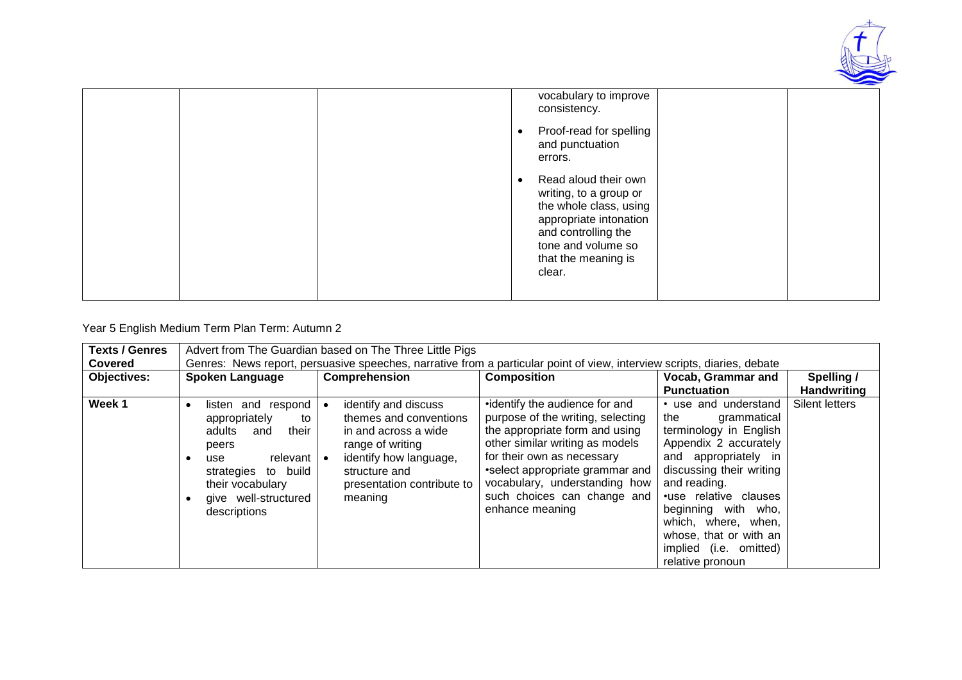

| vocabulary to improve<br>consistency.<br>Proof-read for spelling                                                                                                                 |  |
|----------------------------------------------------------------------------------------------------------------------------------------------------------------------------------|--|
| and punctuation<br>errors.                                                                                                                                                       |  |
| Read aloud their own<br>writing, to a group or<br>the whole class, using<br>appropriate intonation<br>and controlling the<br>tone and volume so<br>that the meaning is<br>clear. |  |

# Year 5 English Medium Term Plan Term: Autumn 2

| <b>Texts / Genres</b><br><b>Covered</b> | Advert from The Guardian based on The Three Little Pigs<br>Genres: News report, persuasive speeches, narrative from a particular point of view, interview scripts, diaries, debate   |                                                                                                                                                                                |                                                                                                                                                                                                                                                                                              |                                                                                                                                                                                                                                                                                                                  |                                  |  |  |  |
|-----------------------------------------|--------------------------------------------------------------------------------------------------------------------------------------------------------------------------------------|--------------------------------------------------------------------------------------------------------------------------------------------------------------------------------|----------------------------------------------------------------------------------------------------------------------------------------------------------------------------------------------------------------------------------------------------------------------------------------------|------------------------------------------------------------------------------------------------------------------------------------------------------------------------------------------------------------------------------------------------------------------------------------------------------------------|----------------------------------|--|--|--|
| <b>Objectives:</b>                      | <b>Spoken Language</b>                                                                                                                                                               | <b>Comprehension</b>                                                                                                                                                           | <b>Composition</b>                                                                                                                                                                                                                                                                           | <b>Vocab, Grammar and</b><br><b>Punctuation</b>                                                                                                                                                                                                                                                                  | Spelling /<br><b>Handwriting</b> |  |  |  |
| Week 1                                  | listen and respond<br>appropriately<br>to<br>adults<br>their<br>and<br>peers<br>relevant I<br>use<br>strategies to build<br>their vocabulary<br>give well-structured<br>descriptions | identify and discuss<br>themes and conventions<br>in and across a wide<br>range of writing<br>identify how language,<br>structure and<br>presentation contribute to<br>meaning | •identify the audience for and<br>purpose of the writing, selecting<br>the appropriate form and using<br>other similar writing as models<br>for their own as necessary<br>•select appropriate grammar and<br>vocabulary, understanding how<br>such choices can change and<br>enhance meaning | • use and understand<br>the<br>grammatical<br>terminology in English<br>Appendix 2 accurately<br>and appropriately in<br>discussing their writing<br>and reading.<br>•use relative clauses<br>beginning with who,<br>which, where, when,<br>whose, that or with an<br>implied (i.e. omitted)<br>relative pronoun | Silent letters                   |  |  |  |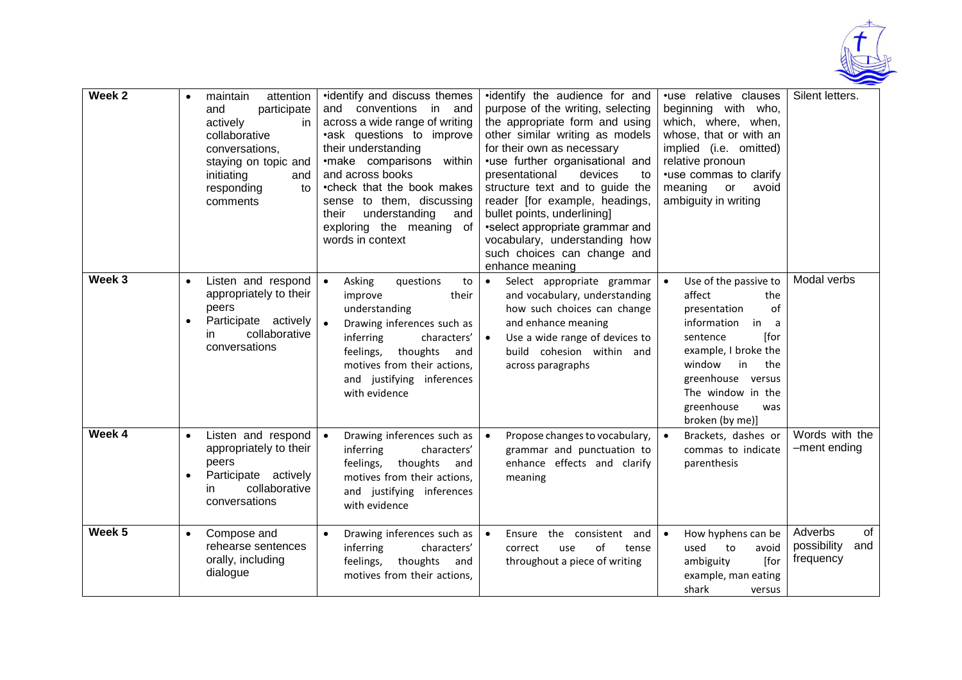

| Week 2 |           | attention<br>maintain<br>and<br>participate<br>actively<br>in<br>collaborative<br>conversations,<br>staying on topic and<br>initiating<br>and<br>responding<br>to<br>comments | •identify and discuss themes<br>and conventions<br>in and<br>across a wide range of writing<br>•ask questions to improve<br>their understanding<br>•make comparisons within<br>and across books<br>•check that the book makes<br>sense to them, discussing<br>their<br>understanding<br>and<br>exploring the meaning of<br>words in context | •identify the audience for and<br>purpose of the writing, selecting<br>the appropriate form and using<br>other similar writing as models<br>for their own as necessary<br>•use further organisational and<br>presentational<br>devices<br>to<br>structure text and to guide the<br>reader [for example, headings,<br>bullet points, underlining]<br>•select appropriate grammar and<br>vocabulary, understanding how<br>such choices can change and<br>enhance meaning | •use relative clauses<br>beginning with who,<br>which, where, when,<br>whose, that or with an<br>implied (i.e. omitted)<br>relative pronoun<br>•use commas to clarify<br>meaning<br>or<br>avoid<br>ambiguity in writing                     | Silent letters.                                  |
|--------|-----------|-------------------------------------------------------------------------------------------------------------------------------------------------------------------------------|---------------------------------------------------------------------------------------------------------------------------------------------------------------------------------------------------------------------------------------------------------------------------------------------------------------------------------------------|------------------------------------------------------------------------------------------------------------------------------------------------------------------------------------------------------------------------------------------------------------------------------------------------------------------------------------------------------------------------------------------------------------------------------------------------------------------------|---------------------------------------------------------------------------------------------------------------------------------------------------------------------------------------------------------------------------------------------|--------------------------------------------------|
| Week 3 |           | Listen and respond<br>appropriately to their<br>peers<br>Participate actively<br>collaborative<br>in.<br>conversations                                                        | Asking<br>questions<br>$\bullet$<br>to<br>improve<br>their<br>understanding<br>Drawing inferences such as<br>inferring<br>characters'<br>feelings,<br>thoughts<br>and<br>motives from their actions,<br>and justifying inferences<br>with evidence                                                                                          | Select appropriate grammar<br>$\bullet$<br>and vocabulary, understanding<br>how such choices can change<br>and enhance meaning<br>Use a wide range of devices to<br>$\bullet$<br>build cohesion within and<br>across paragraphs                                                                                                                                                                                                                                        | Use of the passive to<br>affect<br>the<br>of<br>presentation<br>information<br>in<br>a<br>[for<br>sentence<br>example, I broke the<br>window<br>the<br>in<br>greenhouse versus<br>The window in the<br>greenhouse<br>was<br>broken (by me)] | Modal verbs                                      |
| Week 4 | $\bullet$ | Listen and respond<br>appropriately to their<br>peers<br>Participate actively<br>collaborative<br>in.<br>conversations                                                        | Drawing inferences such as<br>inferring<br>characters'<br>feelings,<br>thoughts<br>and<br>motives from their actions,<br>and justifying inferences<br>with evidence                                                                                                                                                                         | Propose changes to vocabulary,<br>$\bullet$<br>grammar and punctuation to<br>enhance effects and clarify<br>meaning                                                                                                                                                                                                                                                                                                                                                    | Brackets, dashes or<br>commas to indicate<br>parenthesis                                                                                                                                                                                    | Words with the<br>-ment ending                   |
| Week 5 |           | Compose and<br>rehearse sentences<br>orally, including<br>dialogue                                                                                                            | Drawing inferences such as<br>inferring<br>characters'<br>thoughts<br>feelings,<br>and<br>motives from their actions,                                                                                                                                                                                                                       | the consistent and<br>$\bullet$<br>Ensure<br>of<br>correct<br>use<br>tense<br>throughout a piece of writing                                                                                                                                                                                                                                                                                                                                                            | How hyphens can be<br>to<br>avoid<br>used<br>[for<br>ambiguity<br>example, man eating<br>shark<br>versus                                                                                                                                    | Adverbs<br>of<br>possibility<br>and<br>frequency |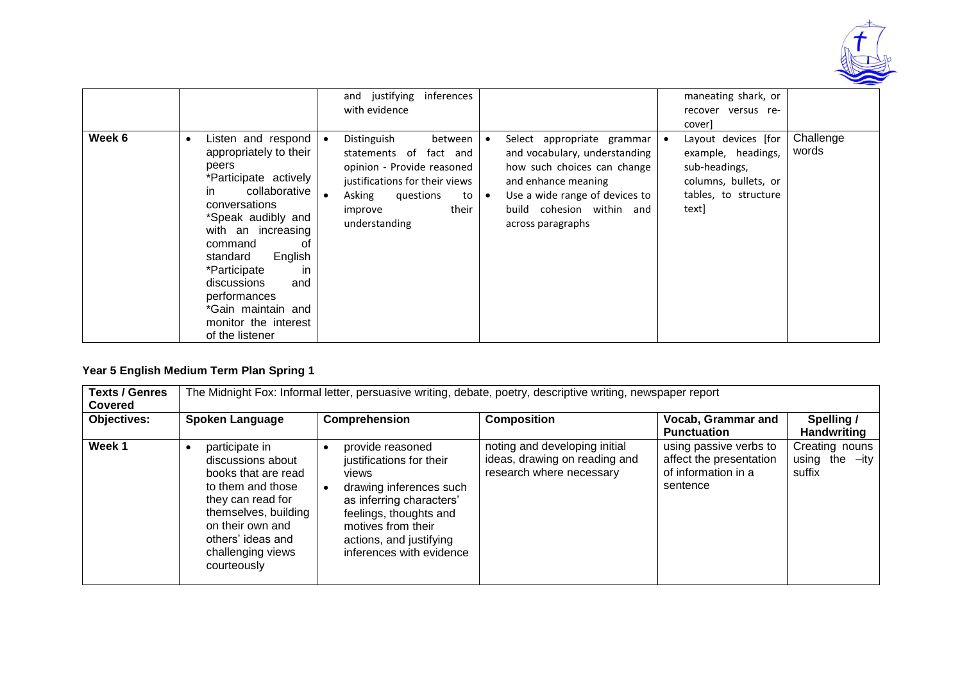

|        |                                                                                                                                                                                                                                                                                                                                                        | and justifying<br>inferences<br>with evidence                                                                                                                                      |                                                                                                                                                                                                       | maneating shark, or<br>recover versus re-<br>cover]                                                                                       |  |
|--------|--------------------------------------------------------------------------------------------------------------------------------------------------------------------------------------------------------------------------------------------------------------------------------------------------------------------------------------------------------|------------------------------------------------------------------------------------------------------------------------------------------------------------------------------------|-------------------------------------------------------------------------------------------------------------------------------------------------------------------------------------------------------|-------------------------------------------------------------------------------------------------------------------------------------------|--|
| Week 6 | Listen and respond<br>$\bullet$<br>appropriately to their<br>peers<br>*Participate actively<br>collaborative<br>in.<br>conversations<br>*Speak audibly and<br>with an increasing<br>command<br>of<br>English<br>standard<br>*Participate<br>-in<br>discussions<br>and<br>performances<br>*Gain maintain and<br>monitor the interest<br>of the listener | Distinguish<br>between<br>statements of fact and<br>opinion - Provide reasoned<br>justifications for their views<br>Asking<br>questions<br>to<br>their<br>improve<br>understanding | Select appropriate grammar<br>and vocabulary, understanding<br>how such choices can change<br>and enhance meaning<br>Use a wide range of devices to<br>build cohesion within and<br>across paragraphs | Challenge<br>Layout devices [for<br>words<br>example, headings,<br>sub-headings,<br>columns, bullets, or<br>tables, to structure<br>textl |  |

## **Year 5 English Medium Term Plan Spring 1**

| <b>Texts / Genres</b><br><b>Covered</b> | The Midnight Fox: Informal letter, persuasive writing, debate, poetry, descriptive writing, newspaper report                                                                                              |                                                                                                                                                                                                                     |                                                                                            |                                                                                      |                                              |  |  |  |  |
|-----------------------------------------|-----------------------------------------------------------------------------------------------------------------------------------------------------------------------------------------------------------|---------------------------------------------------------------------------------------------------------------------------------------------------------------------------------------------------------------------|--------------------------------------------------------------------------------------------|--------------------------------------------------------------------------------------|----------------------------------------------|--|--|--|--|
| <b>Objectives:</b>                      | <b>Spoken Language</b>                                                                                                                                                                                    | Comprehension                                                                                                                                                                                                       | <b>Composition</b>                                                                         | <b>Vocab, Grammar and</b><br><b>Punctuation</b>                                      | Spelling /<br><b>Handwriting</b>             |  |  |  |  |
| Week 1                                  | participate in<br>discussions about<br>books that are read<br>to them and those<br>they can read for<br>themselves, building<br>on their own and<br>others' ideas and<br>challenging views<br>courteously | provide reasoned<br>justifications for their<br>views<br>drawing inferences such<br>as inferring characters'<br>feelings, thoughts and<br>motives from their<br>actions, and justifying<br>inferences with evidence | noting and developing initial<br>ideas, drawing on reading and<br>research where necessary | using passive verbs to<br>affect the presentation<br>of information in a<br>sentence | Creating nouns<br>using the $-ity$<br>suffix |  |  |  |  |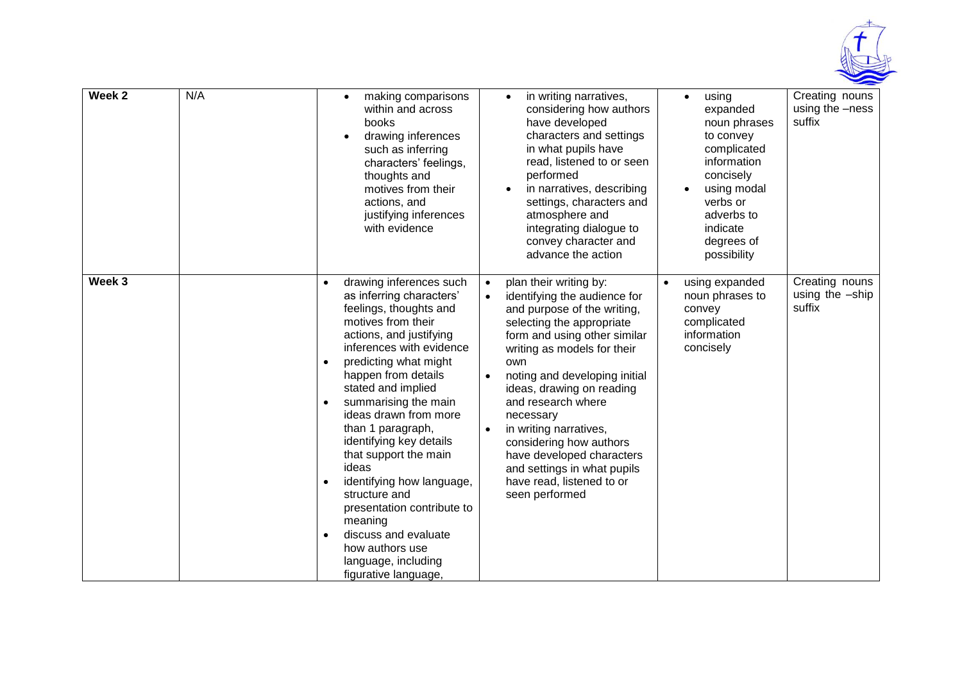

| Week 2 | N/A |                                                               | making comparisons<br>$\bullet$<br>within and across<br>books<br>drawing inferences<br>$\bullet$<br>such as inferring<br>characters' feelings,<br>thoughts and<br>motives from their<br>actions, and<br>justifying inferences<br>with evidence                                                                                                                                                                                                                                                                                                       |                                     | in writing narratives,<br>considering how authors<br>have developed<br>characters and settings<br>in what pupils have<br>read, listened to or seen<br>performed<br>in narratives, describing<br>settings, characters and<br>atmosphere and<br>integrating dialogue to<br>convey character and<br>advance the action                                                                                                                                       |           | using<br>$\bullet$<br>expanded<br>noun phrases<br>to convey<br>complicated<br>information<br>concisely<br>using modal<br>$\bullet$<br>verbs or<br>adverbs to<br>indicate<br>degrees of<br>possibility | Creating nouns<br>using the -ness<br>suffix |
|--------|-----|---------------------------------------------------------------|------------------------------------------------------------------------------------------------------------------------------------------------------------------------------------------------------------------------------------------------------------------------------------------------------------------------------------------------------------------------------------------------------------------------------------------------------------------------------------------------------------------------------------------------------|-------------------------------------|-----------------------------------------------------------------------------------------------------------------------------------------------------------------------------------------------------------------------------------------------------------------------------------------------------------------------------------------------------------------------------------------------------------------------------------------------------------|-----------|-------------------------------------------------------------------------------------------------------------------------------------------------------------------------------------------------------|---------------------------------------------|
| Week 3 |     | $\bullet$<br>$\bullet$<br>$\bullet$<br>$\bullet$<br>$\bullet$ | drawing inferences such<br>as inferring characters'<br>feelings, thoughts and<br>motives from their<br>actions, and justifying<br>inferences with evidence<br>predicting what might<br>happen from details<br>stated and implied<br>summarising the main<br>ideas drawn from more<br>than 1 paragraph,<br>identifying key details<br>that support the main<br>ideas<br>identifying how language,<br>structure and<br>presentation contribute to<br>meaning<br>discuss and evaluate<br>how authors use<br>language, including<br>figurative language, | $\bullet$<br>$\bullet$<br>$\bullet$ | plan their writing by:<br>identifying the audience for<br>and purpose of the writing,<br>selecting the appropriate<br>form and using other similar<br>writing as models for their<br>own<br>noting and developing initial<br>ideas, drawing on reading<br>and research where<br>necessary<br>in writing narratives,<br>considering how authors<br>have developed characters<br>and settings in what pupils<br>have read, listened to or<br>seen performed | $\bullet$ | using expanded<br>noun phrases to<br>convey<br>complicated<br>information<br>concisely                                                                                                                | Creating nouns<br>using the -ship<br>suffix |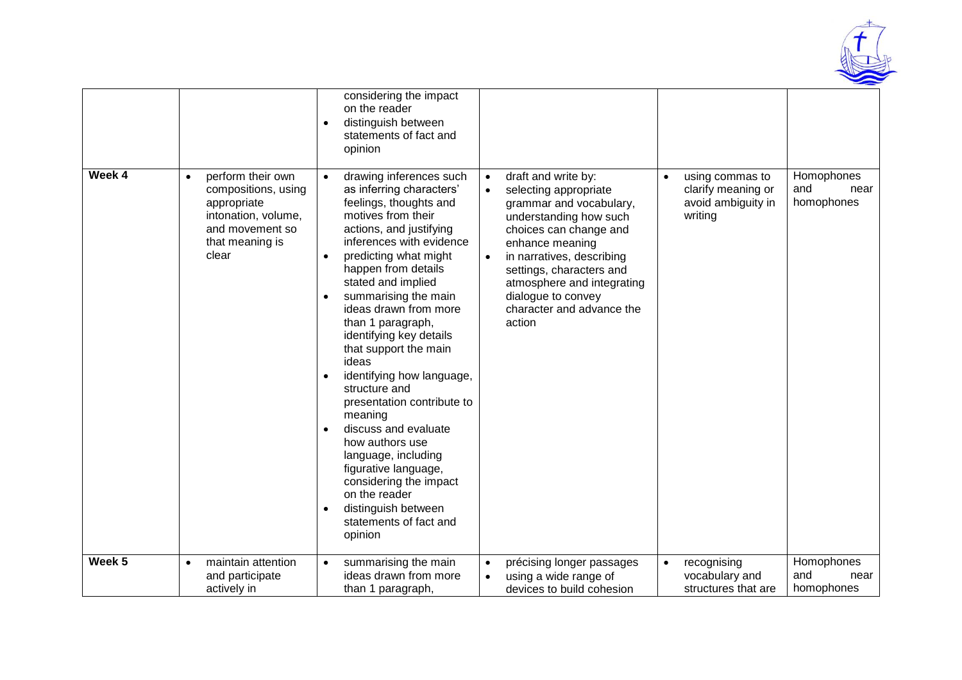

|        |                                                                                                                                            | considering the impact<br>on the reader<br>distinguish between<br>$\bullet$<br>statements of fact and<br>opinion                                                                                                                                                                                                                                                                                                                                                                                                                                                                                                                                                                      |                                                                                                                                                                                                                                                                                                                                           |                                                                                     |                                         |
|--------|--------------------------------------------------------------------------------------------------------------------------------------------|---------------------------------------------------------------------------------------------------------------------------------------------------------------------------------------------------------------------------------------------------------------------------------------------------------------------------------------------------------------------------------------------------------------------------------------------------------------------------------------------------------------------------------------------------------------------------------------------------------------------------------------------------------------------------------------|-------------------------------------------------------------------------------------------------------------------------------------------------------------------------------------------------------------------------------------------------------------------------------------------------------------------------------------------|-------------------------------------------------------------------------------------|-----------------------------------------|
| Week 4 | perform their own<br>$\bullet$<br>compositions, using<br>appropriate<br>intonation, volume,<br>and movement so<br>that meaning is<br>clear | drawing inferences such<br>$\bullet$<br>as inferring characters'<br>feelings, thoughts and<br>motives from their<br>actions, and justifying<br>inferences with evidence<br>predicting what might<br>happen from details<br>stated and implied<br>summarising the main<br>ideas drawn from more<br>than 1 paragraph,<br>identifying key details<br>that support the main<br>ideas<br>identifying how language,<br>structure and<br>presentation contribute to<br>meaning<br>discuss and evaluate<br>how authors use<br>language, including<br>figurative language,<br>considering the impact<br>on the reader<br>distinguish between<br>$\bullet$<br>statements of fact and<br>opinion | draft and write by:<br>$\bullet$<br>selecting appropriate<br>$\bullet$<br>grammar and vocabulary,<br>understanding how such<br>choices can change and<br>enhance meaning<br>in narratives, describing<br>$\bullet$<br>settings, characters and<br>atmosphere and integrating<br>dialogue to convey<br>character and advance the<br>action | using commas to<br>$\bullet$<br>clarify meaning or<br>avoid ambiguity in<br>writing | Homophones<br>and<br>near<br>homophones |
| Week 5 | maintain attention<br>$\bullet$<br>and participate<br>actively in                                                                          | summarising the main<br>$\bullet$<br>ideas drawn from more<br>than 1 paragraph,                                                                                                                                                                                                                                                                                                                                                                                                                                                                                                                                                                                                       | précising longer passages<br>$\bullet$<br>using a wide range of<br>$\bullet$<br>devices to build cohesion                                                                                                                                                                                                                                 | recognising<br>$\bullet$<br>vocabulary and<br>structures that are                   | Homophones<br>and<br>near<br>homophones |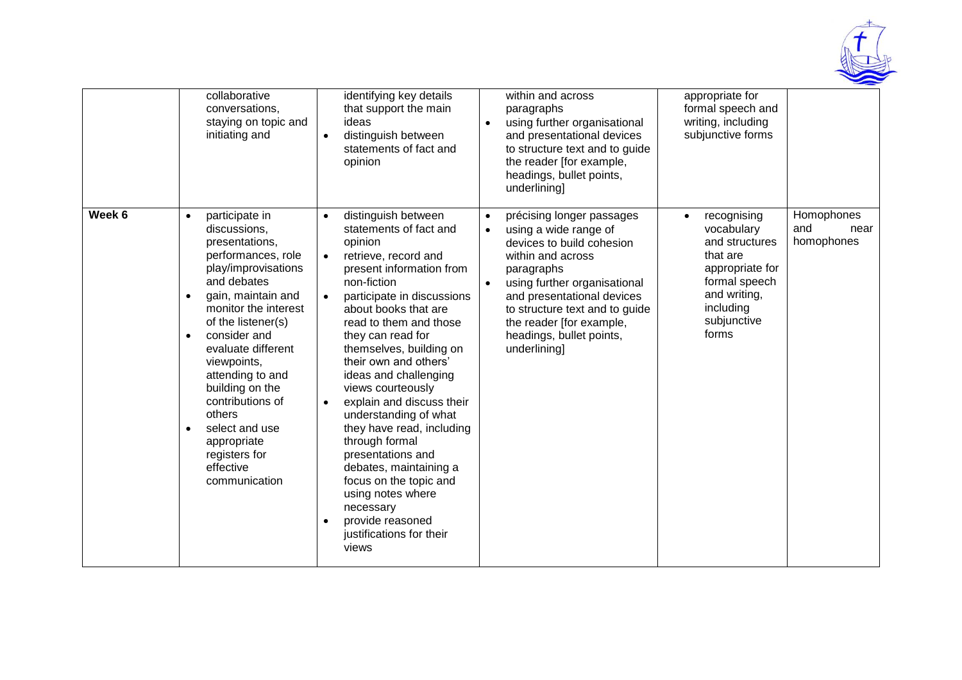

|        | collaborative<br>conversations,<br>staying on topic and<br>initiating and                                                                                                                                                                                                                                                                                                                                                                      | identifying key details<br>that support the main<br>ideas<br>distinguish between<br>$\bullet$<br>statements of fact and<br>opinion                                                                                                                                                                                                                                                                                                                                                                                                                                                                                                                                           | within and across<br>paragraphs<br>using further organisational<br>$\bullet$<br>and presentational devices<br>to structure text and to guide<br>the reader [for example,<br>headings, bullet points,<br>underlining]                                                                                                              | appropriate for<br>formal speech and<br>writing, including<br>subjunctive forms                                                                                                                          |
|--------|------------------------------------------------------------------------------------------------------------------------------------------------------------------------------------------------------------------------------------------------------------------------------------------------------------------------------------------------------------------------------------------------------------------------------------------------|------------------------------------------------------------------------------------------------------------------------------------------------------------------------------------------------------------------------------------------------------------------------------------------------------------------------------------------------------------------------------------------------------------------------------------------------------------------------------------------------------------------------------------------------------------------------------------------------------------------------------------------------------------------------------|-----------------------------------------------------------------------------------------------------------------------------------------------------------------------------------------------------------------------------------------------------------------------------------------------------------------------------------|----------------------------------------------------------------------------------------------------------------------------------------------------------------------------------------------------------|
| Week 6 | participate in<br>$\bullet$<br>discussions,<br>presentations,<br>performances, role<br>play/improvisations<br>and debates<br>gain, maintain and<br>$\bullet$<br>monitor the interest<br>of the listener(s)<br>consider and<br>$\bullet$<br>evaluate different<br>viewpoints,<br>attending to and<br>building on the<br>contributions of<br>others<br>select and use<br>$\bullet$<br>appropriate<br>registers for<br>effective<br>communication | distinguish between<br>$\bullet$<br>statements of fact and<br>opinion<br>retrieve, record and<br>$\bullet$<br>present information from<br>non-fiction<br>participate in discussions<br>$\bullet$<br>about books that are<br>read to them and those<br>they can read for<br>themselves, building on<br>their own and others'<br>ideas and challenging<br>views courteously<br>explain and discuss their<br>$\bullet$<br>understanding of what<br>they have read, including<br>through formal<br>presentations and<br>debates, maintaining a<br>focus on the topic and<br>using notes where<br>necessary<br>provide reasoned<br>$\bullet$<br>justifications for their<br>views | précising longer passages<br>$\bullet$<br>using a wide range of<br>$\bullet$<br>devices to build cohesion<br>within and across<br>paragraphs<br>using further organisational<br>$\bullet$<br>and presentational devices<br>to structure text and to guide<br>the reader [for example,<br>headings, bullet points,<br>underlining] | Homophones<br>recognising<br>$\bullet$<br>and<br>vocabulary<br>near<br>homophones<br>and structures<br>that are<br>appropriate for<br>formal speech<br>and writing,<br>including<br>subjunctive<br>forms |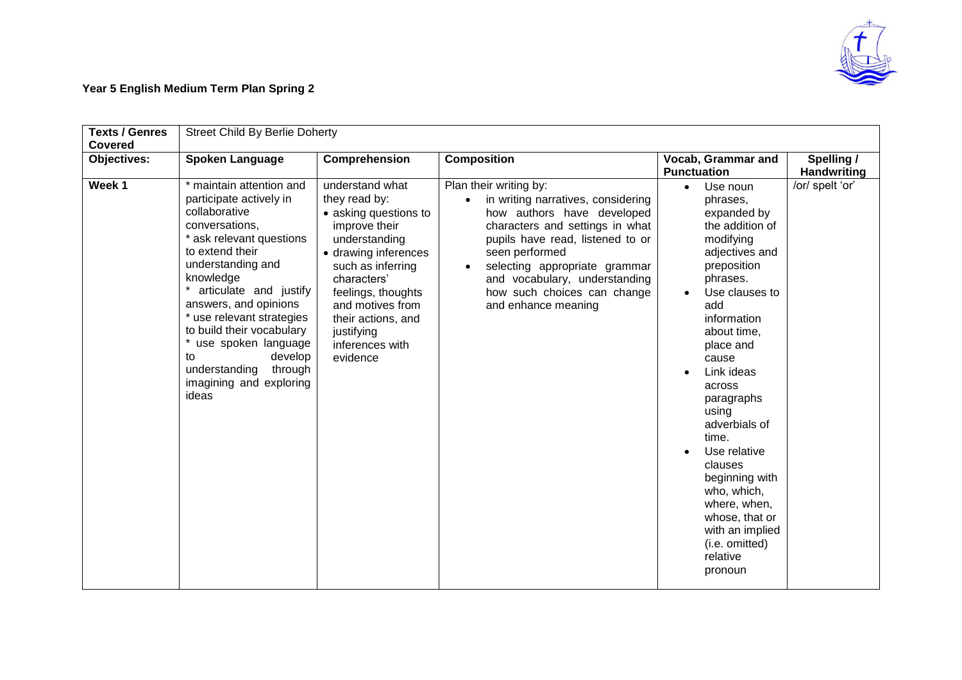

## **Year 5 English Medium Term Plan Spring 2**

| <b>Texts / Genres</b><br><b>Covered</b> | <b>Street Child By Berlie Doherty</b>                                                                                                                                                                                                                                                                                                                                                            |                                                                                                                                                                                                                                                                      |                                                                                                                                                                                                                                                                                                             |                                                                                                                                                                                                                                                                                                                                                                                                                                                                         |                                  |
|-----------------------------------------|--------------------------------------------------------------------------------------------------------------------------------------------------------------------------------------------------------------------------------------------------------------------------------------------------------------------------------------------------------------------------------------------------|----------------------------------------------------------------------------------------------------------------------------------------------------------------------------------------------------------------------------------------------------------------------|-------------------------------------------------------------------------------------------------------------------------------------------------------------------------------------------------------------------------------------------------------------------------------------------------------------|-------------------------------------------------------------------------------------------------------------------------------------------------------------------------------------------------------------------------------------------------------------------------------------------------------------------------------------------------------------------------------------------------------------------------------------------------------------------------|----------------------------------|
| <b>Objectives:</b>                      | <b>Spoken Language</b>                                                                                                                                                                                                                                                                                                                                                                           | Comprehension                                                                                                                                                                                                                                                        | <b>Composition</b>                                                                                                                                                                                                                                                                                          | Vocab, Grammar and<br><b>Punctuation</b>                                                                                                                                                                                                                                                                                                                                                                                                                                | Spelling /<br><b>Handwriting</b> |
| Week 1                                  | * maintain attention and<br>participate actively in<br>collaborative<br>conversations,<br>* ask relevant questions<br>to extend their<br>understanding and<br>knowledge<br>* articulate and justify<br>answers, and opinions<br>* use relevant strategies<br>to build their vocabulary<br>* use spoken language<br>develop<br>to<br>understanding<br>through<br>imagining and exploring<br>ideas | understand what<br>they read by:<br>• asking questions to<br>improve their<br>understanding<br>• drawing inferences<br>such as inferring<br>characters'<br>feelings, thoughts<br>and motives from<br>their actions, and<br>justifying<br>inferences with<br>evidence | Plan their writing by:<br>in writing narratives, considering<br>how authors have developed<br>characters and settings in what<br>pupils have read, listened to or<br>seen performed<br>selecting appropriate grammar<br>and vocabulary, understanding<br>how such choices can change<br>and enhance meaning | Use noun<br>$\bullet$<br>phrases,<br>expanded by<br>the addition of<br>modifying<br>adjectives and<br>preposition<br>phrases.<br>Use clauses to<br>$\bullet$<br>add<br>information<br>about time,<br>place and<br>cause<br>Link ideas<br>$\bullet$<br>across<br>paragraphs<br>using<br>adverbials of<br>time.<br>Use relative<br>clauses<br>beginning with<br>who, which,<br>where, when,<br>whose, that or<br>with an implied<br>(i.e. omitted)<br>relative<br>pronoun | /or/ spelt 'or'                  |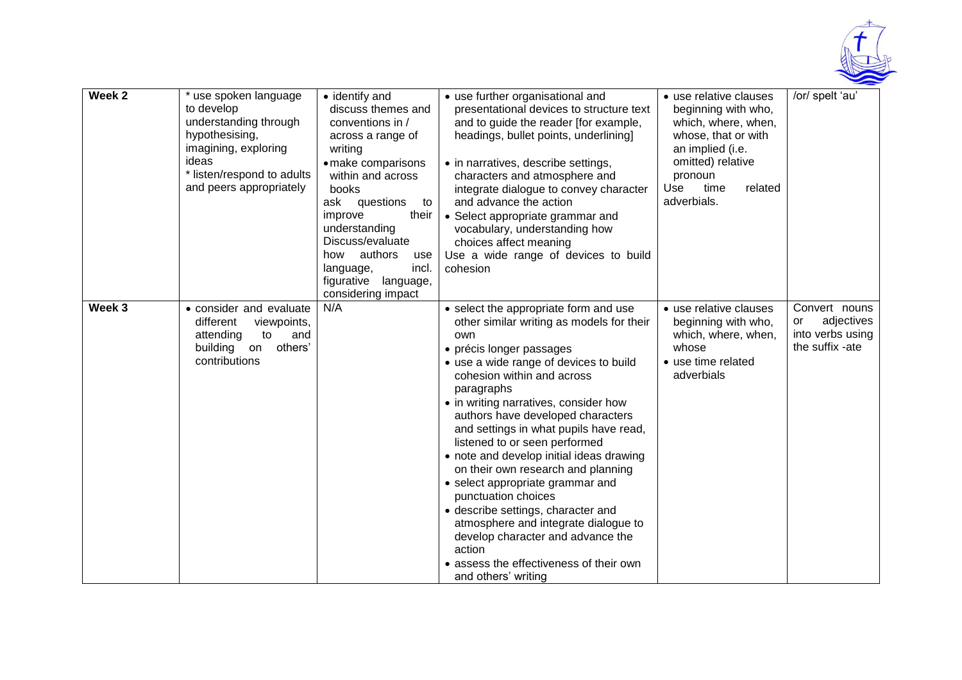

| Week <sub>2</sub> | * use spoken language<br>to develop<br>understanding through<br>hypothesising,<br>imagining, exploring<br>ideas<br>* listen/respond to adults<br>and peers appropriately | • identify and<br>discuss themes and<br>conventions in /<br>across a range of<br>writing<br>· make comparisons<br>within and across<br>books<br>ask questions<br>to<br>their<br>improve<br>understanding<br>Discuss/evaluate<br>authors<br>how<br>use<br>incl.<br>language,<br>figurative<br>language,<br>considering impact | • use further organisational and<br>presentational devices to structure text<br>and to guide the reader [for example,<br>headings, bullet points, underlining]<br>• in narratives, describe settings,<br>characters and atmosphere and<br>integrate dialogue to convey character<br>and advance the action<br>• Select appropriate grammar and<br>vocabulary, understanding how<br>choices affect meaning<br>Use a wide range of devices to build<br>cohesion                                                                                                                                                                                                                                                    | • use relative clauses<br>beginning with who,<br>which, where, when,<br>whose, that or with<br>an implied (i.e.<br>omitted) relative<br>pronoun<br>Use<br>time<br>related<br>adverbials. | /or/ spelt 'au'                                                          |
|-------------------|--------------------------------------------------------------------------------------------------------------------------------------------------------------------------|------------------------------------------------------------------------------------------------------------------------------------------------------------------------------------------------------------------------------------------------------------------------------------------------------------------------------|------------------------------------------------------------------------------------------------------------------------------------------------------------------------------------------------------------------------------------------------------------------------------------------------------------------------------------------------------------------------------------------------------------------------------------------------------------------------------------------------------------------------------------------------------------------------------------------------------------------------------------------------------------------------------------------------------------------|------------------------------------------------------------------------------------------------------------------------------------------------------------------------------------------|--------------------------------------------------------------------------|
| Week 3            | • consider and evaluate<br>different<br>viewpoints,<br>attending<br>to<br>and<br>others'<br>building<br>on<br>contributions                                              | N/A                                                                                                                                                                                                                                                                                                                          | • select the appropriate form and use<br>other similar writing as models for their<br>own<br>• précis longer passages<br>• use a wide range of devices to build<br>cohesion within and across<br>paragraphs<br>• in writing narratives, consider how<br>authors have developed characters<br>and settings in what pupils have read,<br>listened to or seen performed<br>• note and develop initial ideas drawing<br>on their own research and planning<br>• select appropriate grammar and<br>punctuation choices<br>• describe settings, character and<br>atmosphere and integrate dialogue to<br>develop character and advance the<br>action<br>• assess the effectiveness of their own<br>and others' writing | · use relative clauses<br>beginning with who,<br>which, where, when,<br>whose<br>• use time related<br>adverbials                                                                        | Convert nouns<br>adjectives<br>or<br>into verbs using<br>the suffix -ate |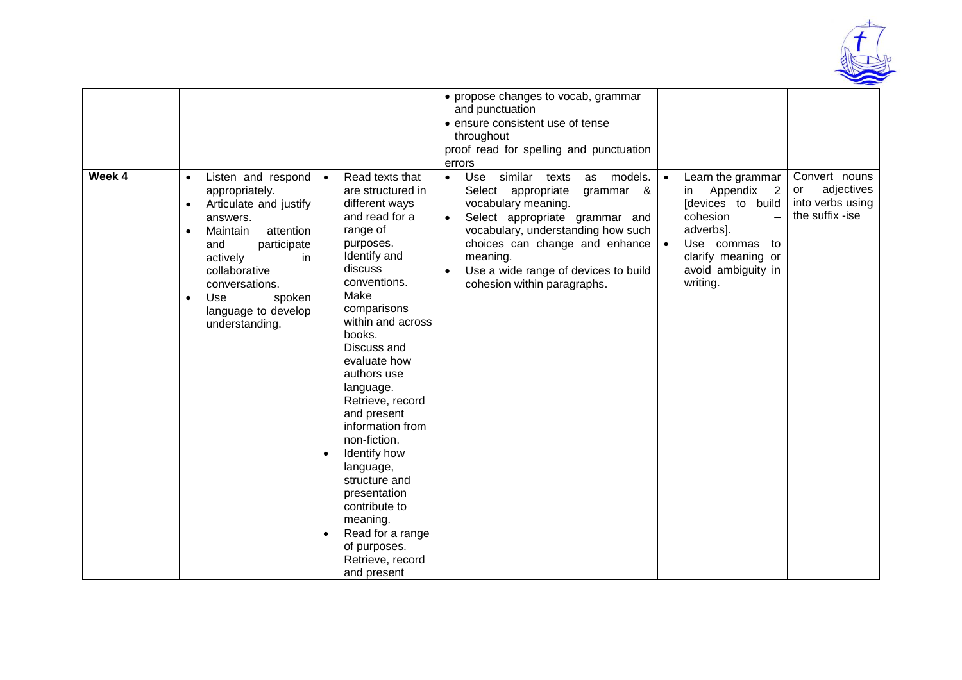

| Week 4 | Listen and respond<br>$\bullet$                                                                                                                                                                                                                            | Read texts that<br>$\bullet$                                                                                                                                                                                                                                                                                                                                                                                                                                                                                  | • propose changes to vocab, grammar<br>and punctuation<br>• ensure consistent use of tense<br>throughout<br>proof read for spelling and punctuation<br>errors<br>Use<br>similar texts<br>models.<br>$\bullet$<br>as                                              | Learn the grammar<br>$\bullet$                                                                                                                                       | Convert nouns                                           |
|--------|------------------------------------------------------------------------------------------------------------------------------------------------------------------------------------------------------------------------------------------------------------|---------------------------------------------------------------------------------------------------------------------------------------------------------------------------------------------------------------------------------------------------------------------------------------------------------------------------------------------------------------------------------------------------------------------------------------------------------------------------------------------------------------|------------------------------------------------------------------------------------------------------------------------------------------------------------------------------------------------------------------------------------------------------------------|----------------------------------------------------------------------------------------------------------------------------------------------------------------------|---------------------------------------------------------|
|        | appropriately.<br>Articulate and justify<br>$\bullet$<br>answers.<br>Maintain<br>attention<br>$\bullet$<br>participate<br>and<br>actively<br>in.<br>collaborative<br>conversations.<br>Use<br>spoken<br>$\bullet$<br>language to develop<br>understanding. | are structured in<br>different ways<br>and read for a<br>range of<br>purposes.<br>Identify and<br>discuss<br>conventions.<br>Make<br>comparisons<br>within and across<br>books.<br>Discuss and<br>evaluate how<br>authors use<br>language.<br>Retrieve, record<br>and present<br>information from<br>non-fiction.<br>Identify how<br>$\bullet$<br>language,<br>structure and<br>presentation<br>contribute to<br>meaning.<br>Read for a range<br>$\bullet$<br>of purposes.<br>Retrieve, record<br>and present | Select appropriate<br>grammar &<br>vocabulary meaning.<br>Select appropriate grammar and<br>$\bullet$<br>vocabulary, understanding how such<br>choices can change and enhance<br>meaning.<br>Use a wide range of devices to build<br>cohesion within paragraphs. | Appendix<br>$\overline{\phantom{a}}$<br>in<br>[devices to build<br>cohesion<br>adverbs].<br>Use commas<br>to<br>clarify meaning or<br>avoid ambiguity in<br>writing. | adjectives<br>or<br>into verbs using<br>the suffix -ise |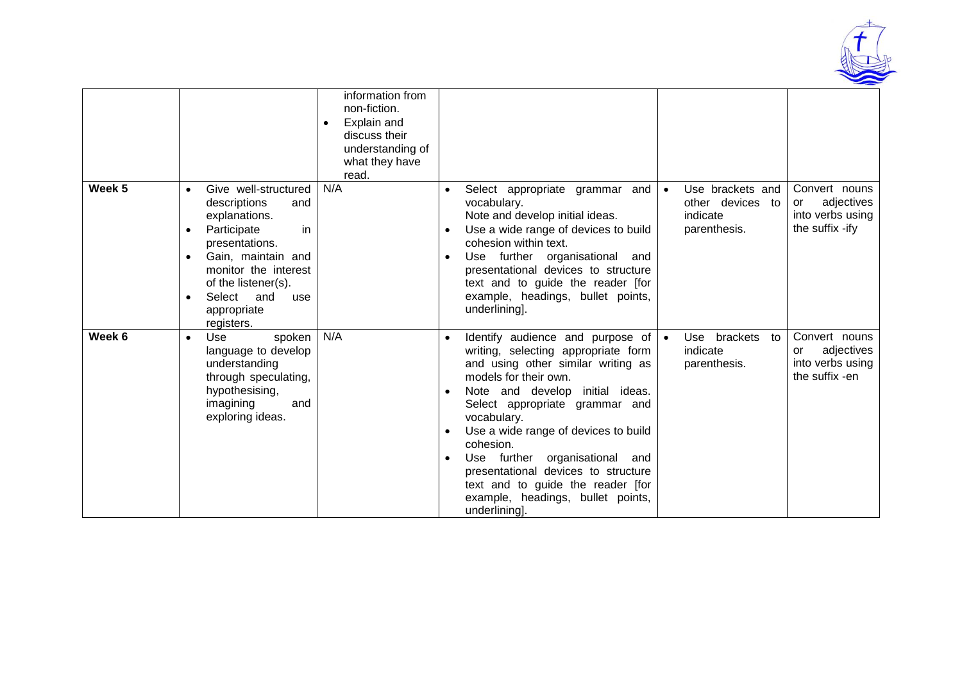

|        |                                                                                                                                                                                                                                                         | information from<br>non-fiction.<br>Explain and<br>discuss their<br>understanding of<br>what they have<br>read. |                                                                                                                                                                                                                                                                                                                                                                                                                                                                               |                                                                               |                                                                          |
|--------|---------------------------------------------------------------------------------------------------------------------------------------------------------------------------------------------------------------------------------------------------------|-----------------------------------------------------------------------------------------------------------------|-------------------------------------------------------------------------------------------------------------------------------------------------------------------------------------------------------------------------------------------------------------------------------------------------------------------------------------------------------------------------------------------------------------------------------------------------------------------------------|-------------------------------------------------------------------------------|--------------------------------------------------------------------------|
| Week 5 | Give well-structured<br>descriptions<br>and<br>explanations.<br>Participate<br>in<br>presentations.<br>Gain, maintain and<br>$\bullet$<br>monitor the interest<br>of the listener(s).<br>Select<br>and<br>use<br>$\bullet$<br>appropriate<br>registers. | N/A                                                                                                             | Select appropriate grammar and<br>vocabulary.<br>Note and develop initial ideas.<br>Use a wide range of devices to build<br>cohesion within text.<br>Use further organisational<br>and<br>presentational devices to structure<br>text and to guide the reader [for<br>example, headings, bullet points,<br>underlining].                                                                                                                                                      | Use brackets and<br>$\bullet$<br>other devices to<br>indicate<br>parenthesis. | Convert nouns<br>adjectives<br>or<br>into verbs using<br>the suffix -ify |
| Week 6 | Use<br>spoken<br>$\bullet$<br>language to develop<br>understanding<br>through speculating,<br>hypothesising,<br>imagining<br>and<br>exploring ideas.                                                                                                    | N/A                                                                                                             | Identify audience and purpose of $\bullet$<br>$\bullet$<br>writing, selecting appropriate form<br>and using other similar writing as<br>models for their own.<br>Note and develop<br>initial ideas.<br>Select appropriate grammar and<br>vocabulary.<br>Use a wide range of devices to build<br>cohesion.<br>Use further organisational and<br>presentational devices to structure<br>text and to guide the reader [for<br>example, headings, bullet points,<br>underlining]. | Use brackets to<br>indicate<br>parenthesis.                                   | Convert nouns<br>adjectives<br>or<br>into verbs using<br>the suffix -en  |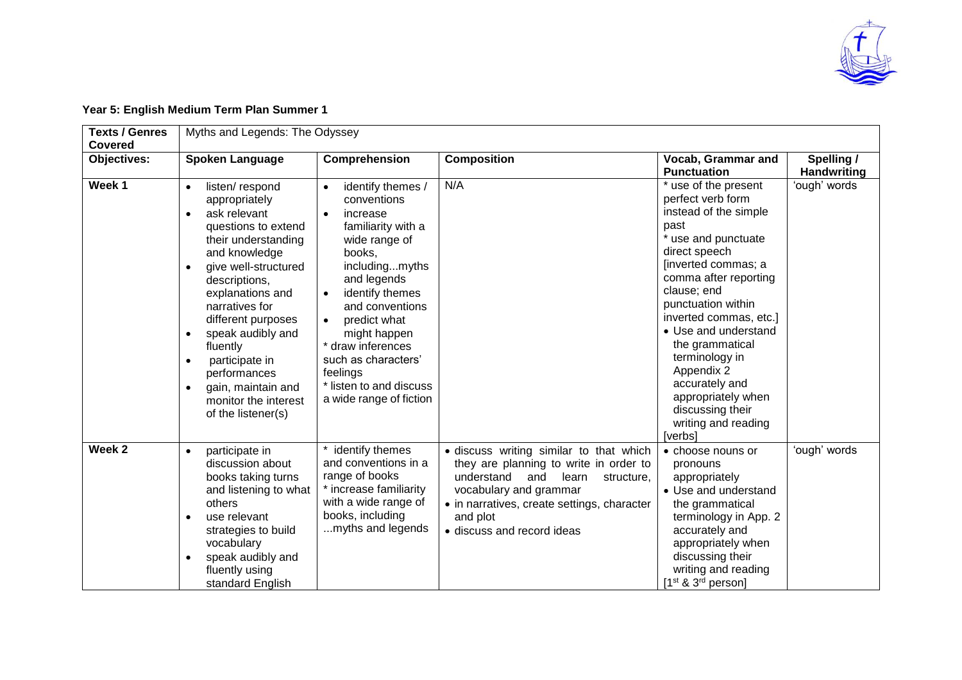

#### **Year 5: English Medium Term Plan Summer 1**

| <b>Texts / Genres</b><br><b>Covered</b> | Myths and Legends: The Odyssey                                                                                                                                                                                                                                                                                                                                                                    |                                                                                                                                                                                                                                                                                                                                 |                                                                                                                                                                                                                                                  |                                                                                                                                                                                                                                                                                                                                                                                                            |                                  |  |  |
|-----------------------------------------|---------------------------------------------------------------------------------------------------------------------------------------------------------------------------------------------------------------------------------------------------------------------------------------------------------------------------------------------------------------------------------------------------|---------------------------------------------------------------------------------------------------------------------------------------------------------------------------------------------------------------------------------------------------------------------------------------------------------------------------------|--------------------------------------------------------------------------------------------------------------------------------------------------------------------------------------------------------------------------------------------------|------------------------------------------------------------------------------------------------------------------------------------------------------------------------------------------------------------------------------------------------------------------------------------------------------------------------------------------------------------------------------------------------------------|----------------------------------|--|--|
| Objectives:                             | <b>Spoken Language</b>                                                                                                                                                                                                                                                                                                                                                                            | Comprehension                                                                                                                                                                                                                                                                                                                   | <b>Composition</b>                                                                                                                                                                                                                               | Vocab, Grammar and<br><b>Punctuation</b>                                                                                                                                                                                                                                                                                                                                                                   | Spelling /<br><b>Handwriting</b> |  |  |
| Week 1                                  | listen/respond<br>appropriately<br>ask relevant<br>$\bullet$<br>questions to extend<br>their understanding<br>and knowledge<br>give well-structured<br>descriptions,<br>explanations and<br>narratives for<br>different purposes<br>speak audibly and<br>fluently<br>participate in<br>$\bullet$<br>performances<br>gain, maintain and<br>$\bullet$<br>monitor the interest<br>of the listener(s) | identify themes /<br>conventions<br>increase<br>$\bullet$<br>familiarity with a<br>wide range of<br>books,<br>includingmyths<br>and legends<br>identify themes<br>and conventions<br>predict what<br>might happen<br>* draw inferences<br>such as characters'<br>feelings<br>* listen to and discuss<br>a wide range of fiction | N/A                                                                                                                                                                                                                                              | * use of the present<br>perfect verb form<br>instead of the simple<br>past<br>* use and punctuate<br>direct speech<br>[inverted commas; a<br>comma after reporting<br>clause; end<br>punctuation within<br>inverted commas, etc.]<br>• Use and understand<br>the grammatical<br>terminology in<br>Appendix 2<br>accurately and<br>appropriately when<br>discussing their<br>writing and reading<br>[verbs] | 'ough' words                     |  |  |
| Week 2                                  | participate in<br>$\bullet$<br>discussion about<br>books taking turns<br>and listening to what<br>others<br>use relevant<br>strategies to build<br>vocabulary<br>speak audibly and<br>$\bullet$<br>fluently using<br>standard English                                                                                                                                                             | identify themes<br>and conventions in a<br>range of books<br>* increase familiarity<br>with a wide range of<br>books, including<br>myths and legends                                                                                                                                                                            | · discuss writing similar to that which<br>they are planning to write in order to<br>understand<br>and<br>learn<br>structure,<br>vocabulary and grammar<br>• in narratives, create settings, character<br>and plot<br>• discuss and record ideas | • choose nouns or<br>pronouns<br>appropriately<br>• Use and understand<br>the grammatical<br>terminology in App. 2<br>accurately and<br>appropriately when<br>discussing their<br>writing and reading<br>[1 <sup>st</sup> & 3 <sup>rd</sup> person]                                                                                                                                                        | 'ough' words                     |  |  |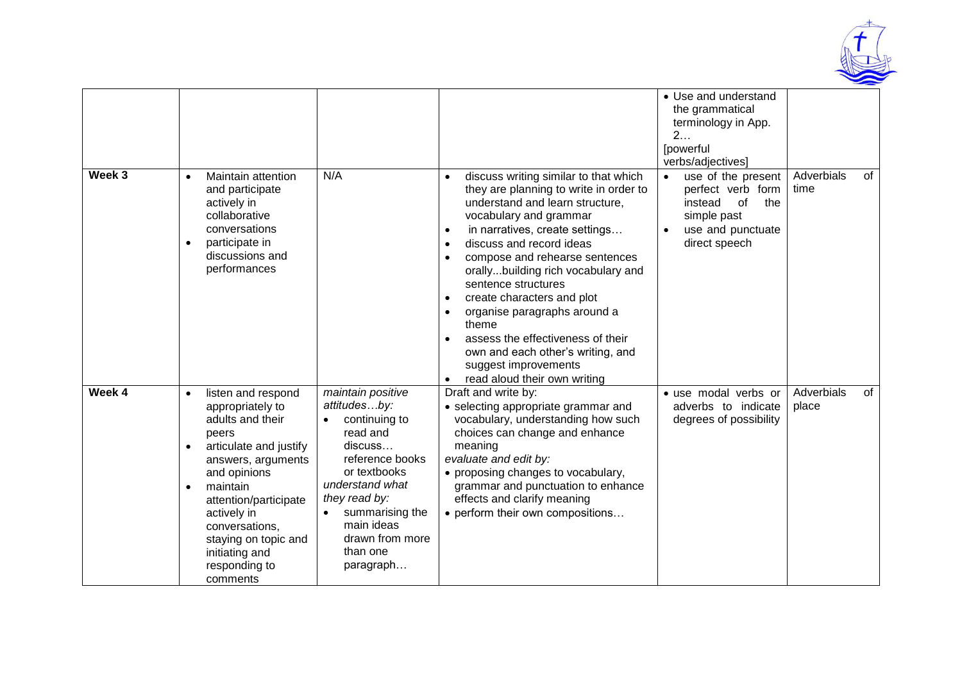

| Week 3 | Maintain attention<br>$\bullet$<br>and participate<br>actively in<br>collaborative<br>conversations<br>participate in<br>$\bullet$<br>discussions and<br>performances                                                                                                                                      | N/A                                                                                                                                                                                                                           | discuss writing similar to that which<br>$\bullet$<br>they are planning to write in order to<br>understand and learn structure,<br>vocabulary and grammar<br>in narratives, create settings<br>$\bullet$<br>discuss and record ideas<br>$\bullet$<br>compose and rehearse sentences<br>$\bullet$<br>orallybuilding rich vocabulary and<br>sentence structures<br>create characters and plot<br>$\bullet$<br>organise paragraphs around a<br>$\bullet$<br>theme<br>assess the effectiveness of their<br>$\bullet$<br>own and each other's writing, and<br>suggest improvements<br>read aloud their own writing | • Use and understand<br>the grammatical<br>terminology in App.<br>2.<br>[powerful<br>verbs/adjectives]<br>use of the present<br>perfect verb form<br>of<br>the<br>instead<br>simple past<br>use and punctuate<br>$\bullet$<br>direct speech | Adverbials<br>of<br>time  |
|--------|------------------------------------------------------------------------------------------------------------------------------------------------------------------------------------------------------------------------------------------------------------------------------------------------------------|-------------------------------------------------------------------------------------------------------------------------------------------------------------------------------------------------------------------------------|---------------------------------------------------------------------------------------------------------------------------------------------------------------------------------------------------------------------------------------------------------------------------------------------------------------------------------------------------------------------------------------------------------------------------------------------------------------------------------------------------------------------------------------------------------------------------------------------------------------|---------------------------------------------------------------------------------------------------------------------------------------------------------------------------------------------------------------------------------------------|---------------------------|
| Week 4 | listen and respond<br>$\bullet$<br>appropriately to<br>adults and their<br>peers<br>articulate and justify<br>answers, arguments<br>and opinions<br>maintain<br>$\bullet$<br>attention/participate<br>actively in<br>conversations,<br>staying on topic and<br>initiating and<br>responding to<br>comments | maintain positive<br>attitudesby:<br>continuing to<br>read and<br>discuss<br>reference books<br>or textbooks<br>understand what<br>they read by:<br>summarising the<br>main ideas<br>drawn from more<br>than one<br>paragraph | Draft and write by:<br>• selecting appropriate grammar and<br>vocabulary, understanding how such<br>choices can change and enhance<br>meaning<br>evaluate and edit by:<br>• proposing changes to vocabulary,<br>grammar and punctuation to enhance<br>effects and clarify meaning<br>• perform their own compositions                                                                                                                                                                                                                                                                                         | · use modal verbs or<br>adverbs to indicate<br>degrees of possibility                                                                                                                                                                       | Adverbials<br>of<br>place |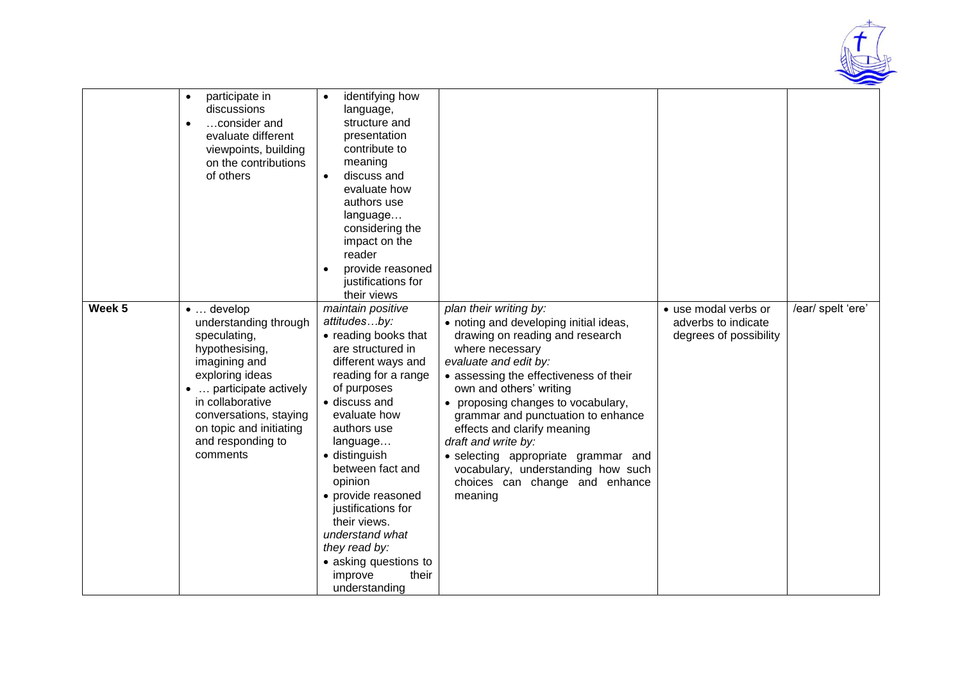

|                   | participate in<br>$\bullet$<br>discussions<br>consider and<br>$\bullet$<br>evaluate different<br>viewpoints, building<br>on the contributions<br>of others                                                                                            | identifying how<br>$\bullet$<br>language,<br>structure and<br>presentation<br>contribute to<br>meaning<br>discuss and<br>$\bullet$<br>evaluate how<br>authors use<br>language<br>considering the<br>impact on the<br>reader<br>provide reasoned<br>justifications for<br>their views                                                                                                                                 |                                                                                                                                                                                                                                                                                                                                                                                                                                                                                  |                                                                       |                   |
|-------------------|-------------------------------------------------------------------------------------------------------------------------------------------------------------------------------------------------------------------------------------------------------|----------------------------------------------------------------------------------------------------------------------------------------------------------------------------------------------------------------------------------------------------------------------------------------------------------------------------------------------------------------------------------------------------------------------|----------------------------------------------------------------------------------------------------------------------------------------------------------------------------------------------------------------------------------------------------------------------------------------------------------------------------------------------------------------------------------------------------------------------------------------------------------------------------------|-----------------------------------------------------------------------|-------------------|
| Week <sub>5</sub> | $\bullet$ develop<br>understanding through<br>speculating,<br>hypothesising,<br>imagining and<br>exploring ideas<br>•  participate actively<br>in collaborative<br>conversations, staying<br>on topic and initiating<br>and responding to<br>comments | maintain positive<br>attitudesby:<br>• reading books that<br>are structured in<br>different ways and<br>reading for a range<br>of purposes<br>· discuss and<br>evaluate how<br>authors use<br>language<br>· distinguish<br>between fact and<br>opinion<br>• provide reasoned<br>justifications for<br>their views.<br>understand what<br>they read by:<br>• asking questions to<br>improve<br>their<br>understanding | plan their writing by:<br>• noting and developing initial ideas,<br>drawing on reading and research<br>where necessary<br>evaluate and edit by:<br>• assessing the effectiveness of their<br>own and others' writing<br>• proposing changes to vocabulary,<br>grammar and punctuation to enhance<br>effects and clarify meaning<br>draft and write by:<br>· selecting appropriate grammar and<br>vocabulary, understanding how such<br>choices can change and enhance<br>meaning | • use modal verbs or<br>adverbs to indicate<br>degrees of possibility | /ear/ spelt 'ere' |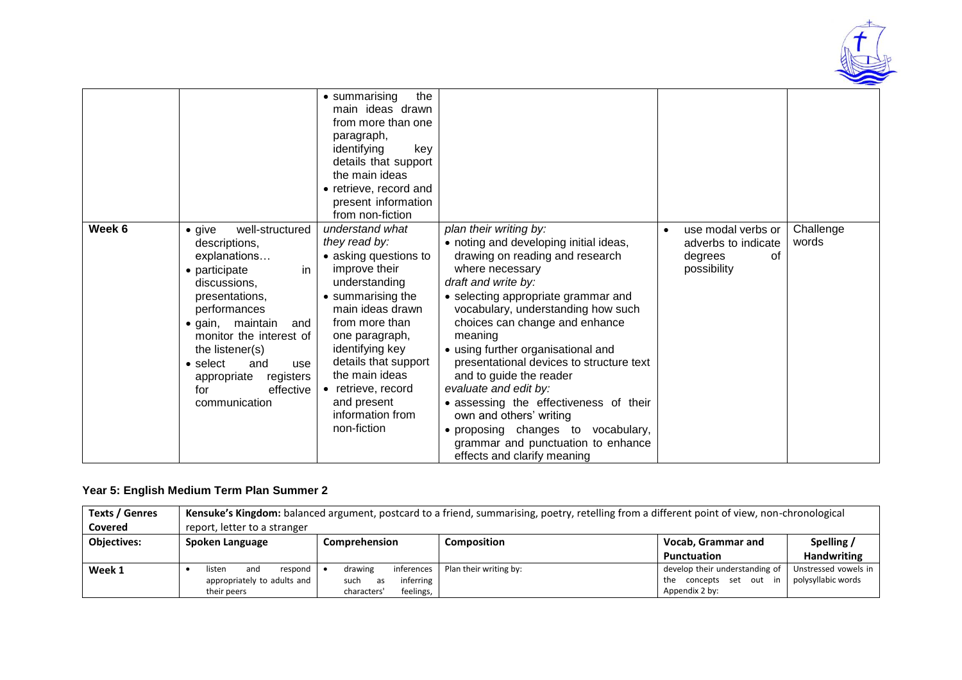

|        |                                                                                                                                                                                                                                                                                                                                     | the<br>• summarising<br>main ideas drawn<br>from more than one<br>paragraph,<br>identifying<br>key<br>details that support<br>the main ideas<br>• retrieve, record and<br>present information<br>from non-fiction                                                                                             |                                                                                                                                                                                                                                                                                                                                                                                                                                                                                                                                                                                               |                                                                                        |                    |
|--------|-------------------------------------------------------------------------------------------------------------------------------------------------------------------------------------------------------------------------------------------------------------------------------------------------------------------------------------|---------------------------------------------------------------------------------------------------------------------------------------------------------------------------------------------------------------------------------------------------------------------------------------------------------------|-----------------------------------------------------------------------------------------------------------------------------------------------------------------------------------------------------------------------------------------------------------------------------------------------------------------------------------------------------------------------------------------------------------------------------------------------------------------------------------------------------------------------------------------------------------------------------------------------|----------------------------------------------------------------------------------------|--------------------|
| Week 6 | well-structured<br>$\bullet$ give<br>descriptions,<br>explanations<br>• participate<br>in.<br>discussions,<br>presentations,<br>performances<br>maintain<br>$\bullet$ qain,<br>and<br>monitor the interest of<br>the listener(s)<br>$\bullet$ select<br>and<br>use<br>registers<br>appropriate<br>effective<br>for<br>communication | understand what<br>they read by:<br>• asking questions to<br>improve their<br>understanding<br>• summarising the<br>main ideas drawn<br>from more than<br>one paragraph,<br>identifying key<br>details that support<br>the main ideas<br>• retrieve, record<br>and present<br>information from<br>non-fiction | plan their writing by:<br>• noting and developing initial ideas,<br>drawing on reading and research<br>where necessary<br>draft and write by:<br>• selecting appropriate grammar and<br>vocabulary, understanding how such<br>choices can change and enhance<br>meaning<br>• using further organisational and<br>presentational devices to structure text<br>and to guide the reader<br>evaluate and edit by:<br>• assessing the effectiveness of their<br>own and others' writing<br>· proposing changes to vocabulary,<br>grammar and punctuation to enhance<br>effects and clarify meaning | use modal verbs or<br>$\bullet$<br>adverbs to indicate<br>degrees<br>οf<br>possibility | Challenge<br>words |

#### **Year 5: English Medium Term Plan Summer 2**

| <b>Texts / Genres</b> | Kensuke's Kingdom: balanced argument, postcard to a friend, summarising, poetry, retelling from a different point of view, non-chronological |                          |                        |                                |                      |  |  |  |
|-----------------------|----------------------------------------------------------------------------------------------------------------------------------------------|--------------------------|------------------------|--------------------------------|----------------------|--|--|--|
| <b>Covered</b>        | report, letter to a stranger                                                                                                                 |                          |                        |                                |                      |  |  |  |
| <b>Objectives:</b>    | Spoken Language                                                                                                                              | Comprehension            | <b>Composition</b>     | Vocab, Grammar and             | Spelling /           |  |  |  |
|                       |                                                                                                                                              |                          |                        | <b>Punctuation</b>             | <b>Handwriting</b>   |  |  |  |
| Week 1                | listen<br>respond<br>and                                                                                                                     | inferences<br>drawing    | Plan their writing by: | develop their understanding of | Unstressed vowels in |  |  |  |
|                       | appropriately to adults and                                                                                                                  | inferring<br>such<br>as  |                        | concepts set out in<br>the     | polysyllabic words   |  |  |  |
|                       | their peers                                                                                                                                  | feelings,<br>characters' |                        | Appendix 2 by:                 |                      |  |  |  |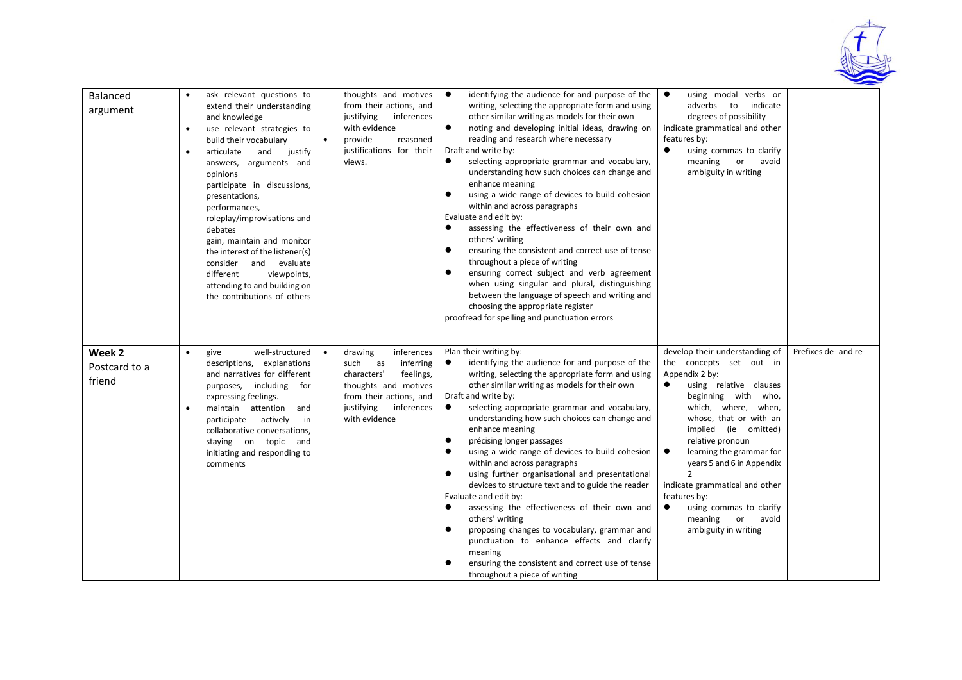

| Balanced<br>argument              | $\bullet$<br>$\bullet$<br>$\bullet$ | ask relevant questions to<br>extend their understanding<br>and knowledge<br>use relevant strategies to<br>build their vocabulary<br>and<br>articulate<br>justify<br>answers, arguments and<br>opinions<br>participate in discussions,<br>presentations,<br>performances,<br>roleplay/improvisations and<br>debates<br>gain, maintain and monitor<br>the interest of the listener(s)<br>consider and evaluate<br>different<br>viewpoints,<br>attending to and building on<br>the contributions of others | thoughts and motives<br>from their actions, and<br>justifying<br>inferences<br>with evidence<br>provide<br>reasoned<br>$\bullet$<br>justifications for their<br>views.       | $\bullet$<br>identifying the audience for and purpose of the<br>writing, selecting the appropriate form and using<br>other similar writing as models for their own<br>$\bullet$<br>noting and developing initial ideas, drawing on<br>reading and research where necessary<br>Draft and write by:<br>selecting appropriate grammar and vocabulary,<br>$\bullet$<br>understanding how such choices can change and<br>enhance meaning<br>$\bullet$<br>using a wide range of devices to build cohesion<br>within and across paragraphs<br>Evaluate and edit by:<br>assessing the effectiveness of their own and<br>$\bullet$<br>others' writing<br>ensuring the consistent and correct use of tense<br>$\bullet$<br>throughout a piece of writing<br>ensuring correct subject and verb agreement<br>$\bullet$<br>when using singular and plural, distinguishing<br>between the language of speech and writing and<br>choosing the appropriate register<br>proofread for spelling and punctuation errors | using modal verbs or<br>$\bullet$<br>adverbs to<br>indicate<br>degrees of possibility<br>indicate grammatical and other<br>features by:<br>using commas to clarify<br>meaning or avoid<br>ambiguity in writing                                                                                                                                                                                                                                                         |                      |
|-----------------------------------|-------------------------------------|---------------------------------------------------------------------------------------------------------------------------------------------------------------------------------------------------------------------------------------------------------------------------------------------------------------------------------------------------------------------------------------------------------------------------------------------------------------------------------------------------------|------------------------------------------------------------------------------------------------------------------------------------------------------------------------------|------------------------------------------------------------------------------------------------------------------------------------------------------------------------------------------------------------------------------------------------------------------------------------------------------------------------------------------------------------------------------------------------------------------------------------------------------------------------------------------------------------------------------------------------------------------------------------------------------------------------------------------------------------------------------------------------------------------------------------------------------------------------------------------------------------------------------------------------------------------------------------------------------------------------------------------------------------------------------------------------------|------------------------------------------------------------------------------------------------------------------------------------------------------------------------------------------------------------------------------------------------------------------------------------------------------------------------------------------------------------------------------------------------------------------------------------------------------------------------|----------------------|
| Week 2<br>Postcard to a<br>friend | $\bullet$<br>$\bullet$              | well-structured<br>give<br>descriptions, explanations<br>and narratives for different<br>purposes, including for<br>expressing feelings.<br>maintain attention and<br>participate actively<br>in<br>collaborative conversations,<br>staying on topic and<br>initiating and responding to<br>comments                                                                                                                                                                                                    | drawing<br>inferences<br>inferring<br>such<br>as<br>characters'<br>feelings,<br>thoughts and motives<br>from their actions, and<br>justifying<br>inferences<br>with evidence | Plan their writing by:<br>identifying the audience for and purpose of the<br>$\bullet$<br>writing, selecting the appropriate form and using<br>other similar writing as models for their own<br>Draft and write by:<br>selecting appropriate grammar and vocabulary,<br>$\bullet$<br>understanding how such choices can change and<br>enhance meaning<br>$\bullet$<br>précising longer passages<br>using a wide range of devices to build cohesion<br>$\bullet$<br>within and across paragraphs<br>$\bullet$<br>using further organisational and presentational<br>devices to structure text and to guide the reader<br>Evaluate and edit by:<br>assessing the effectiveness of their own and<br>$\bullet$<br>others' writing<br>$\bullet$<br>proposing changes to vocabulary, grammar and<br>punctuation to enhance effects and clarify<br>meaning<br>ensuring the consistent and correct use of tense<br>$\bullet$<br>throughout a piece of writing                                                | develop their understanding of<br>the concepts set out in<br>Appendix 2 by:<br>using relative clauses<br>$\bullet$<br>beginning with who,<br>which, where, when,<br>whose, that or with an<br>implied (ie omitted)<br>relative pronoun<br>learning the grammar for<br>$\bullet$<br>years 5 and 6 in Appendix<br>$\mathcal{P}$<br>indicate grammatical and other<br>features by:<br>$\bullet$<br>using commas to clarify<br>or avoid<br>meaning<br>ambiguity in writing | Prefixes de- and re- |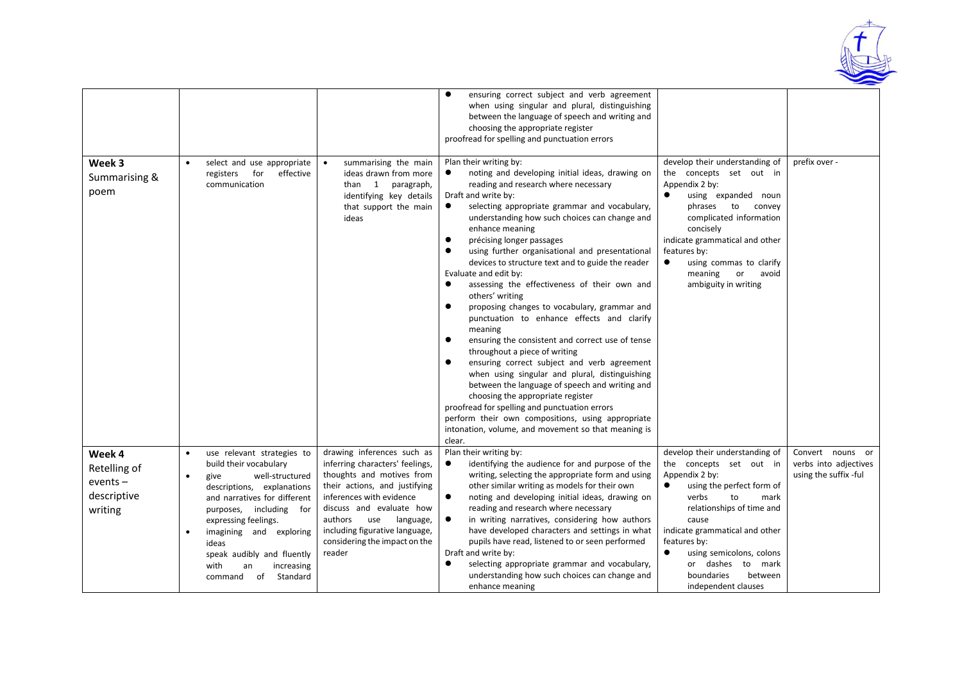

|                                                                |                                                                                                                                                                                                                                                                                                                                                       |                                                                                                                                                                                                                                                                                                 | ensuring correct subject and verb agreement<br>when using singular and plural, distinguishing<br>between the language of speech and writing and<br>choosing the appropriate register<br>proofread for spelling and punctuation errors                                                                                                                                                                                                                                                                                                                                                                                                                                                                                                                                                                                                                                                                                                                                                                                                                                                                                                     |                                                                                                                                                                                                                                                                                                                          |                                                                    |
|----------------------------------------------------------------|-------------------------------------------------------------------------------------------------------------------------------------------------------------------------------------------------------------------------------------------------------------------------------------------------------------------------------------------------------|-------------------------------------------------------------------------------------------------------------------------------------------------------------------------------------------------------------------------------------------------------------------------------------------------|-------------------------------------------------------------------------------------------------------------------------------------------------------------------------------------------------------------------------------------------------------------------------------------------------------------------------------------------------------------------------------------------------------------------------------------------------------------------------------------------------------------------------------------------------------------------------------------------------------------------------------------------------------------------------------------------------------------------------------------------------------------------------------------------------------------------------------------------------------------------------------------------------------------------------------------------------------------------------------------------------------------------------------------------------------------------------------------------------------------------------------------------|--------------------------------------------------------------------------------------------------------------------------------------------------------------------------------------------------------------------------------------------------------------------------------------------------------------------------|--------------------------------------------------------------------|
| Week 3<br>Summarising &<br>poem                                | select and use appropriate<br>$\bullet$<br>for<br>effective<br>registers<br>communication                                                                                                                                                                                                                                                             | summarising the main<br>ideas drawn from more<br>than 1 paragraph,<br>identifying key details<br>that support the main<br>ideas                                                                                                                                                                 | Plan their writing by:<br>noting and developing initial ideas, drawing on<br>$\bullet$<br>reading and research where necessary<br>Draft and write by:<br>$\bullet$<br>selecting appropriate grammar and vocabulary,<br>understanding how such choices can change and<br>enhance meaning<br>précising longer passages<br>using further organisational and presentational<br>devices to structure text and to guide the reader<br>Evaluate and edit by:<br>assessing the effectiveness of their own and<br>$\bullet$<br>others' writing<br>$\bullet$<br>proposing changes to vocabulary, grammar and<br>punctuation to enhance effects and clarify<br>meaning<br>ensuring the consistent and correct use of tense<br>$\bullet$<br>throughout a piece of writing<br>ensuring correct subject and verb agreement<br>$\bullet$<br>when using singular and plural, distinguishing<br>between the language of speech and writing and<br>choosing the appropriate register<br>proofread for spelling and punctuation errors<br>perform their own compositions, using appropriate<br>intonation, volume, and movement so that meaning is<br>clear. | develop their understanding of<br>the concepts set out in<br>Appendix 2 by:<br>using expanded noun<br>phrases to convey<br>complicated information<br>concisely<br>indicate grammatical and other<br>features by:<br>using commas to clarify<br>meaning<br>or<br>avoid<br>ambiguity in writing                           | prefix over -                                                      |
| Week 4<br>Retelling of<br>$events -$<br>descriptive<br>writing | use relevant strategies to<br>build their vocabulary<br>well-structured<br>give<br>$\bullet$<br>descriptions, explanations<br>and narratives for different<br>purposes, including for<br>expressing feelings.<br>imagining and exploring<br>$\bullet$<br>ideas<br>speak audibly and fluently<br>with<br>increasing<br>an<br>Standard<br>of<br>command | drawing inferences such as<br>inferring characters' feelings,<br>thoughts and motives from<br>their actions, and justifying<br>inferences with evidence<br>discuss and evaluate how<br>authors<br>use<br>language,<br>including figurative language,<br>considering the impact on the<br>reader | Plan their writing by:<br>identifying the audience for and purpose of the<br>$\bullet$<br>writing, selecting the appropriate form and using<br>other similar writing as models for their own<br>$\bullet$<br>noting and developing initial ideas, drawing on<br>reading and research where necessary<br>in writing narratives, considering how authors<br>$\bullet$<br>have developed characters and settings in what<br>pupils have read, listened to or seen performed<br>Draft and write by:<br>selecting appropriate grammar and vocabulary,<br>$\bullet$<br>understanding how such choices can change and<br>enhance meaning                                                                                                                                                                                                                                                                                                                                                                                                                                                                                                         | develop their understanding of<br>the concepts set out in<br>Appendix 2 by:<br>using the perfect form of<br>verbs<br>to<br>mark<br>relationships of time and<br>cause<br>indicate grammatical and other<br>features by:<br>using semicolons, colons<br>or dashes to mark<br>boundaries<br>between<br>independent clauses | Convert nouns or<br>verbs into adjectives<br>using the suffix -ful |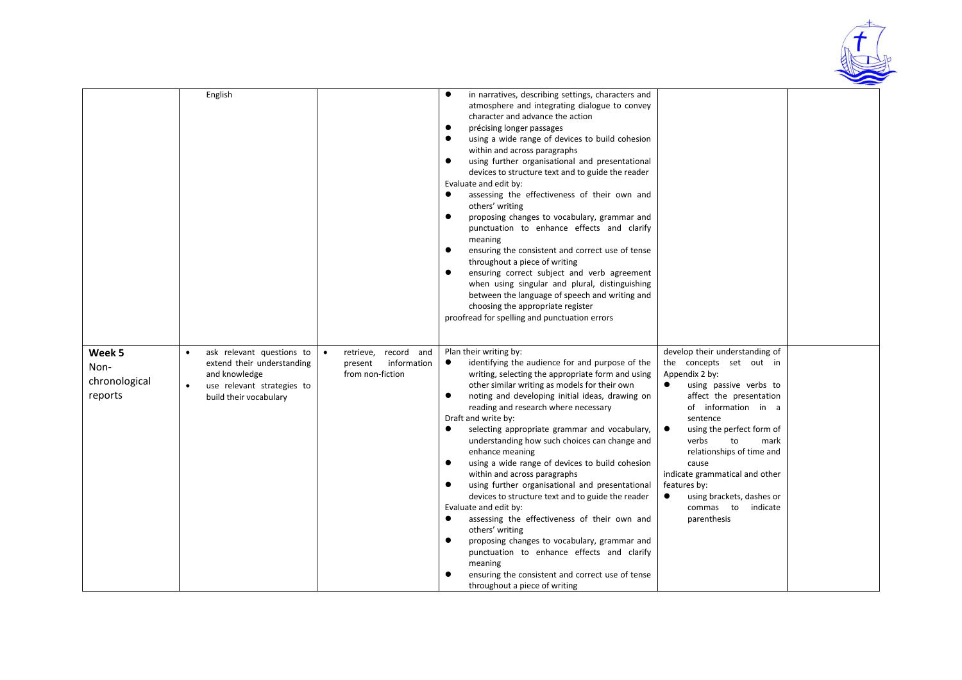

|                                            | English                                                                                                                          |                                                                                    | in narratives, describing settings, characters and<br>$\bullet$<br>atmosphere and integrating dialogue to convey<br>character and advance the action<br>$\bullet$<br>précising longer passages<br>using a wide range of devices to build cohesion<br>within and across paragraphs<br>using further organisational and presentational<br>devices to structure text and to guide the reader<br>Evaluate and edit by:<br>assessing the effectiveness of their own and<br>$\bullet$<br>others' writing<br>proposing changes to vocabulary, grammar and<br>$\bullet$<br>punctuation to enhance effects and clarify<br>meaning<br>ensuring the consistent and correct use of tense<br>throughout a piece of writing<br>ensuring correct subject and verb agreement<br>when using singular and plural, distinguishing<br>between the language of speech and writing and<br>choosing the appropriate register<br>proofread for spelling and punctuation errors                                    |                                                                                                                                                                                                                                                                                                                                                                                                             |  |
|--------------------------------------------|----------------------------------------------------------------------------------------------------------------------------------|------------------------------------------------------------------------------------|-------------------------------------------------------------------------------------------------------------------------------------------------------------------------------------------------------------------------------------------------------------------------------------------------------------------------------------------------------------------------------------------------------------------------------------------------------------------------------------------------------------------------------------------------------------------------------------------------------------------------------------------------------------------------------------------------------------------------------------------------------------------------------------------------------------------------------------------------------------------------------------------------------------------------------------------------------------------------------------------|-------------------------------------------------------------------------------------------------------------------------------------------------------------------------------------------------------------------------------------------------------------------------------------------------------------------------------------------------------------------------------------------------------------|--|
| Week 5<br>Non-<br>chronological<br>reports | ask relevant questions to<br>extend their understanding<br>and knowledge<br>use relevant strategies to<br>build their vocabulary | record and<br>retrieve,<br>$\bullet$<br>information<br>present<br>from non-fiction | Plan their writing by:<br>$\bullet$<br>identifying the audience for and purpose of the<br>writing, selecting the appropriate form and using<br>other similar writing as models for their own<br>$\bullet$<br>noting and developing initial ideas, drawing on<br>reading and research where necessary<br>Draft and write by:<br>$\bullet$<br>selecting appropriate grammar and vocabulary,<br>understanding how such choices can change and<br>enhance meaning<br>using a wide range of devices to build cohesion<br>$\bullet$<br>within and across paragraphs<br>using further organisational and presentational<br>$\bullet$<br>devices to structure text and to guide the reader<br>Evaluate and edit by:<br>assessing the effectiveness of their own and<br>$\bullet$<br>others' writing<br>proposing changes to vocabulary, grammar and<br>punctuation to enhance effects and clarify<br>meaning<br>ensuring the consistent and correct use of tense<br>throughout a piece of writing | develop their understanding of<br>the concepts set out in<br>Appendix 2 by:<br>using passive verbs to<br>affect the presentation<br>of information in a<br>sentence<br>$\bullet$<br>using the perfect form of<br>verbs<br>to<br>mark<br>relationships of time and<br>cause<br>indicate grammatical and other<br>features by:<br>$\bullet$<br>using brackets, dashes or<br>commas to indicate<br>parenthesis |  |